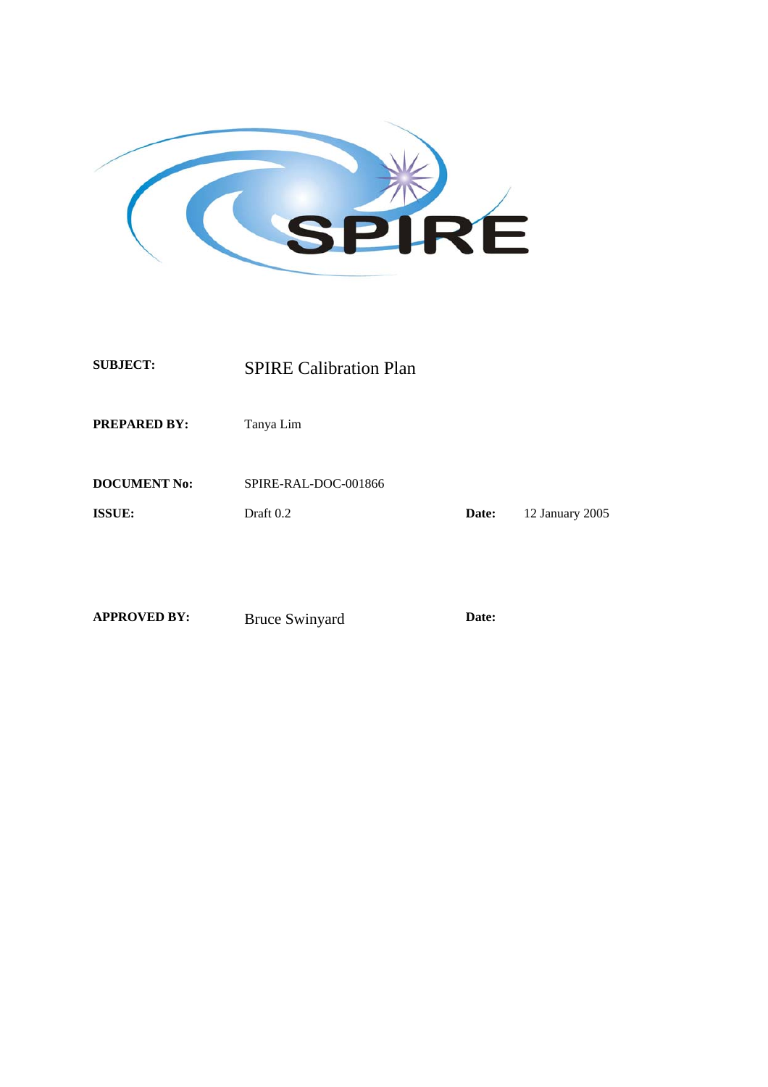

**SUBJECT:** SPIRE Calibration Plan

**PREPARED BY:** Tanya Lim

**DOCUMENT No:** SPIRE-RAL-DOC-001866

**ISSUE:** Draft 0.2 **Date:** 12 January 2005

**APPROVED BY:** Bruce Swinyard **Date:**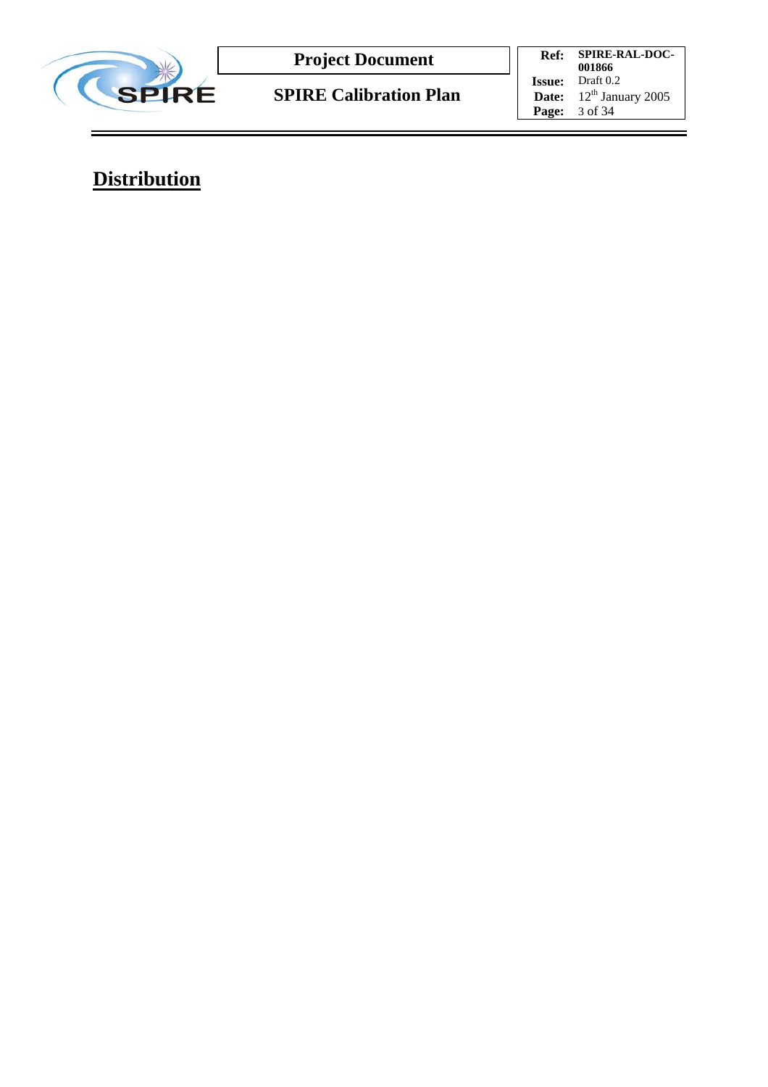

**SPIRE Calibration Plan**

**Ref: SPIRE-RAL-DOC-001866 Issue:** Draft 0.2 **Date:**  $12^{\text{th}}$  January 2005 **Page:** 3 of 34

**Distribution**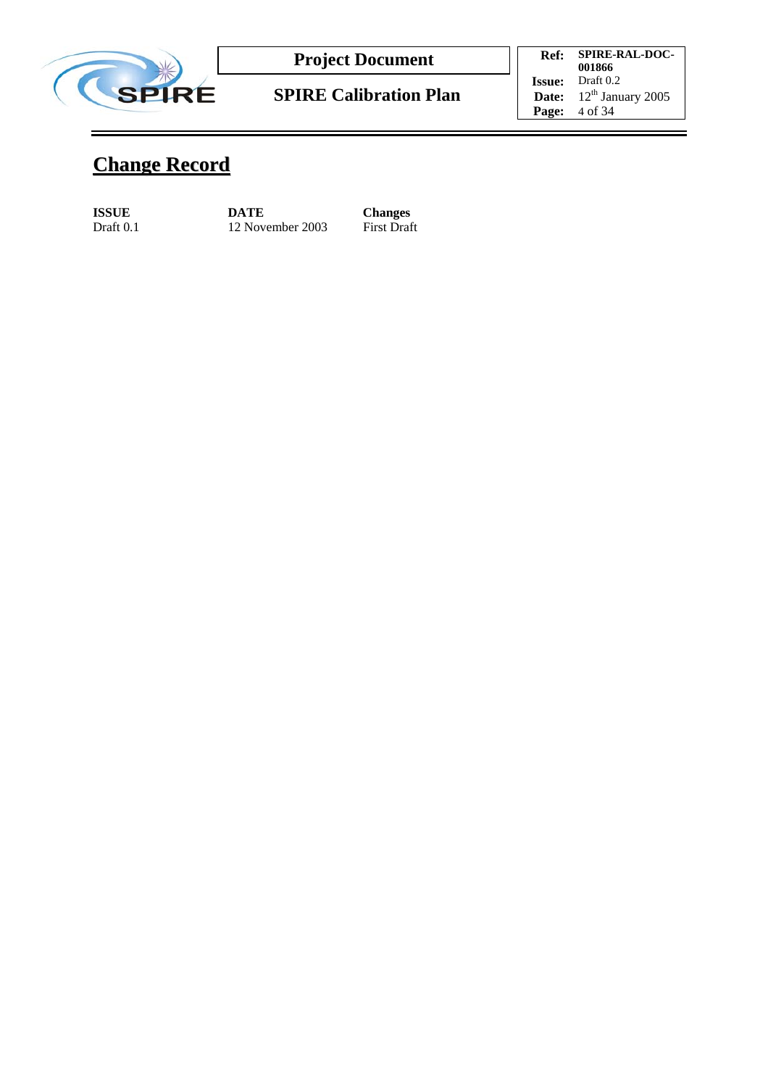

**Ref: SPIRE-RAL-DOC-001866 Issue:** Draft 0.2 **Date:**  $12^{\text{th}}$  January 2005 **Page:** 4 of 34

# **Change Record**

**ISSUE** DATE Changes<br>Draft 0.1 12 November 2003 First Draft 12 November 2003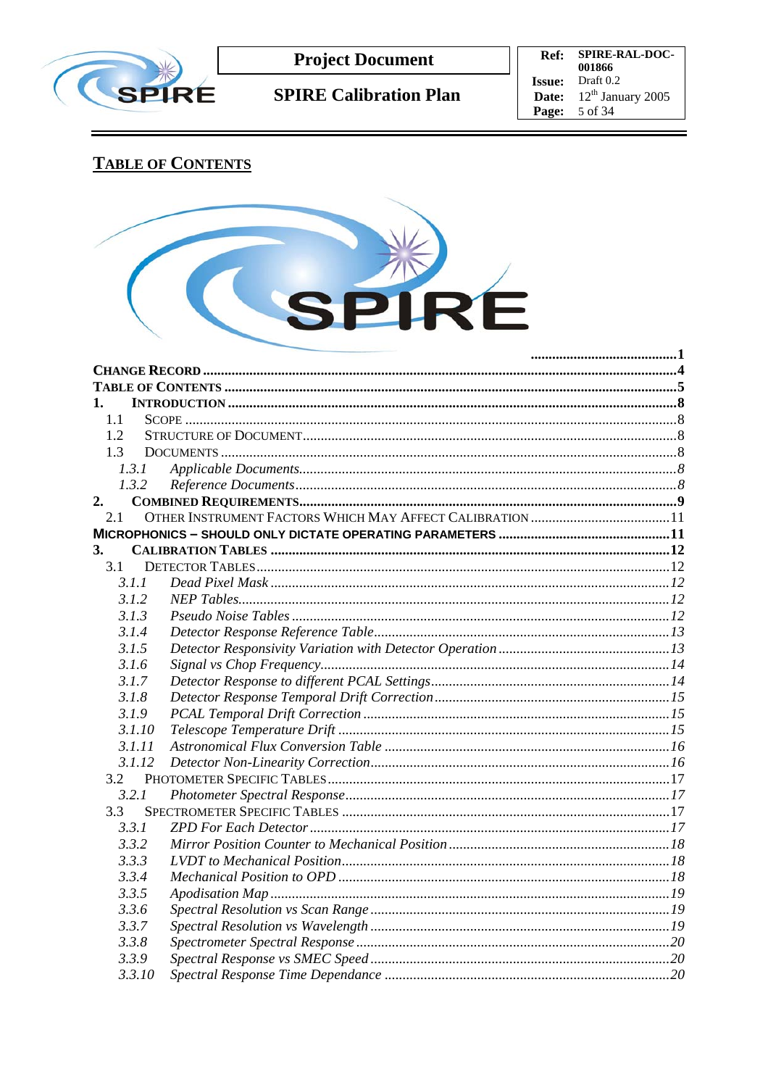

**SPIRE Calibration Plan** 

Ref: SPIRE-RAL-DOC-**Ket:** SPIKE-KAL-DOC-<br>001866<br>**Issue:** Draft 0.2<br>**Date:** 12<sup>th</sup> January 2005 **Page:** 5 of 34

# **TABLE OF CONTENTS**



| 1.     |  |
|--------|--|
| 1.1    |  |
| 1.2    |  |
| 1.3    |  |
| 1.3.1  |  |
| 1.3.2  |  |
| 2.     |  |
| 2.1    |  |
|        |  |
| 3.     |  |
| 3.1    |  |
| 3.1.1  |  |
| 3.1.2  |  |
| 3.1.3  |  |
| 3.1.4  |  |
| 3.1.5  |  |
| 3.1.6  |  |
| 3.1.7  |  |
| 3.1.8  |  |
| 3.1.9  |  |
| 3.1.10 |  |
| 3.1.11 |  |
| 3.1.12 |  |
| 3.2    |  |
| 3.2.1  |  |
| 3.3    |  |
| 3.3.1  |  |
| 3.3.2  |  |
| 3.3.3  |  |
| 3.3.4  |  |
| 3.3.5  |  |
| 3.3.6  |  |
| 3.3.7  |  |
| 3.3.8  |  |
| 3.3.9  |  |
| 3.3.10 |  |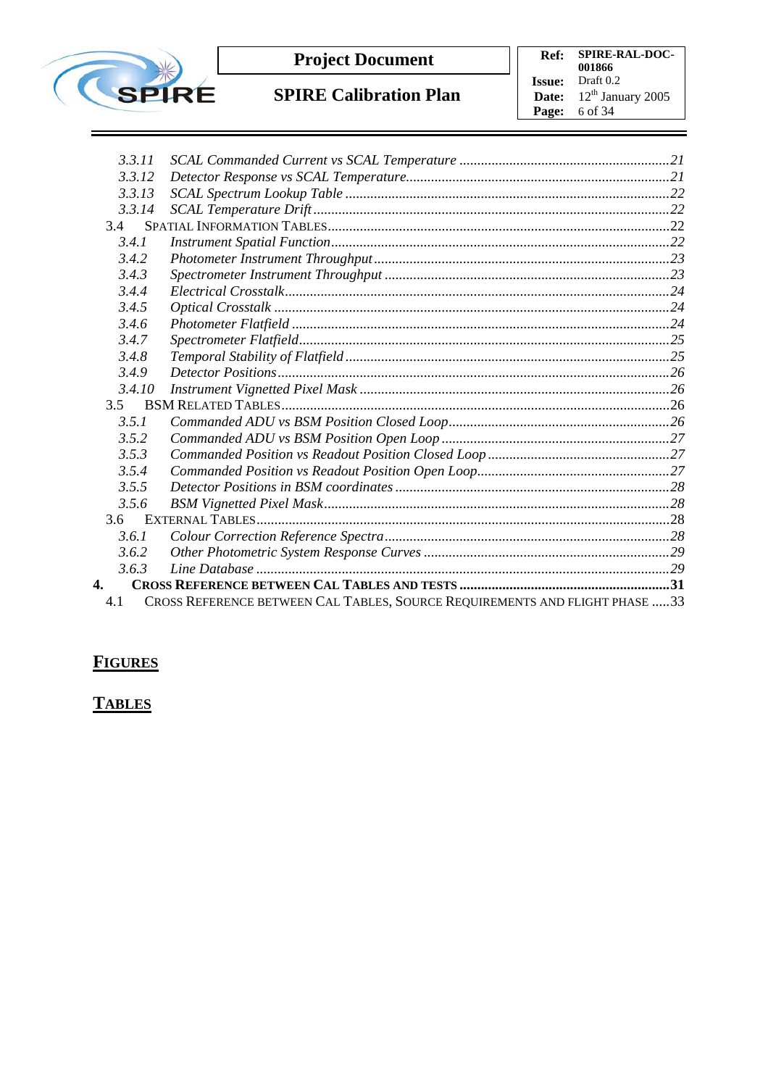

**Ref: SPIRE-RAL-DOC-001866 Issue:** Draft 0.2 **Date:**  $12^{\text{th}}$  January 2005 **Page:** 6 of 34

| 3.3.11 |                                                                              |  |
|--------|------------------------------------------------------------------------------|--|
| 3.3.12 |                                                                              |  |
| 3.3.13 |                                                                              |  |
| 3.3.14 |                                                                              |  |
| 3.4    |                                                                              |  |
| 3.4.1  |                                                                              |  |
| 3.4.2  |                                                                              |  |
| 3.4.3  |                                                                              |  |
| 3.4.4  |                                                                              |  |
| 3.4.5  |                                                                              |  |
| 3.4.6  |                                                                              |  |
| 3.4.7  |                                                                              |  |
| 3.4.8  |                                                                              |  |
| 3.4.9  |                                                                              |  |
| 3.4.10 |                                                                              |  |
| 3.5    |                                                                              |  |
| 3.5.1  |                                                                              |  |
| 3.5.2  |                                                                              |  |
| 3.5.3  |                                                                              |  |
| 3.5.4  |                                                                              |  |
| 3.5.5  |                                                                              |  |
| 3.5.6  |                                                                              |  |
|        |                                                                              |  |
| 3.6.1  |                                                                              |  |
| 3.6.2  |                                                                              |  |
| 3.6.3  |                                                                              |  |
| 4.     |                                                                              |  |
| 4.1    | CROSS REFERENCE BETWEEN CAL TABLES, SOURCE REQUIREMENTS AND FLIGHT PHASE  33 |  |

# **FIGURES**

# **TABLES**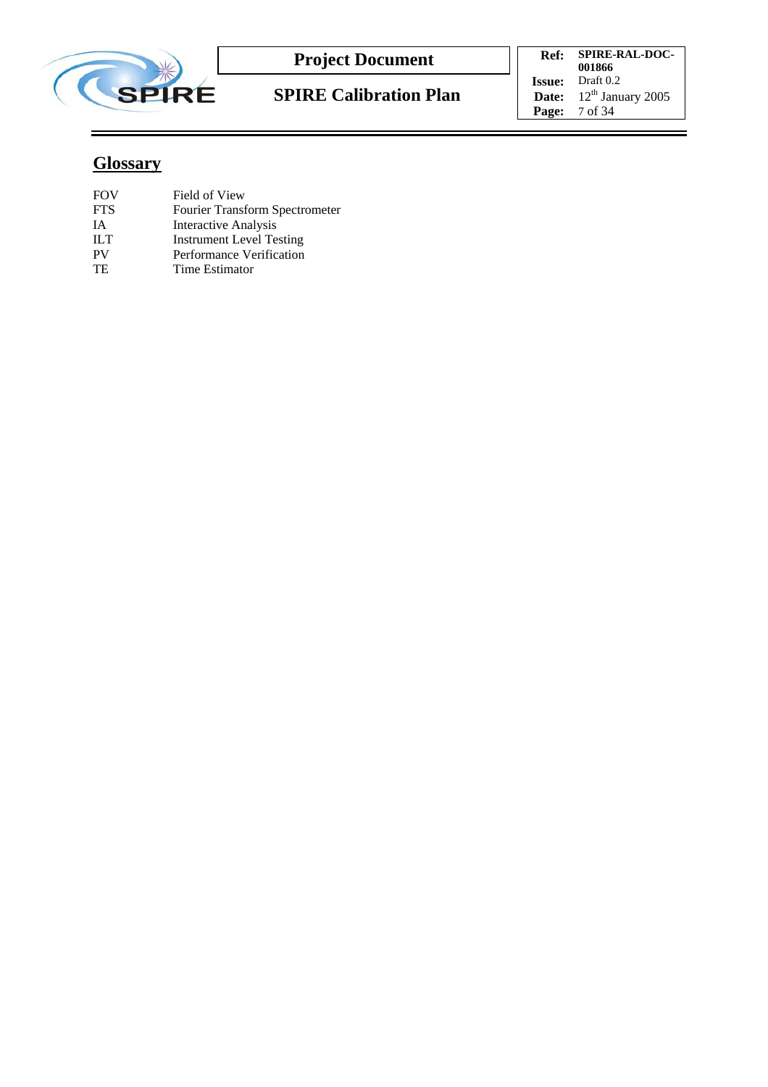

**SPIRE Calibration Plan**

**Ref: SPIRE-RAL-DOC-001866 Issue:** Draft 0.2 **Date:**  $12^{\text{th}}$  January 2005 **Page:** 7 of 34

# **Glossary**

| FOV        | Field of View                         |
|------------|---------------------------------------|
| <b>FTS</b> | <b>Fourier Transform Spectrometer</b> |
| IА         | <b>Interactive Analysis</b>           |
| ILТ        | <b>Instrument Level Testing</b>       |
| PV         | Performance Verification              |
| TE         | Time Estimator                        |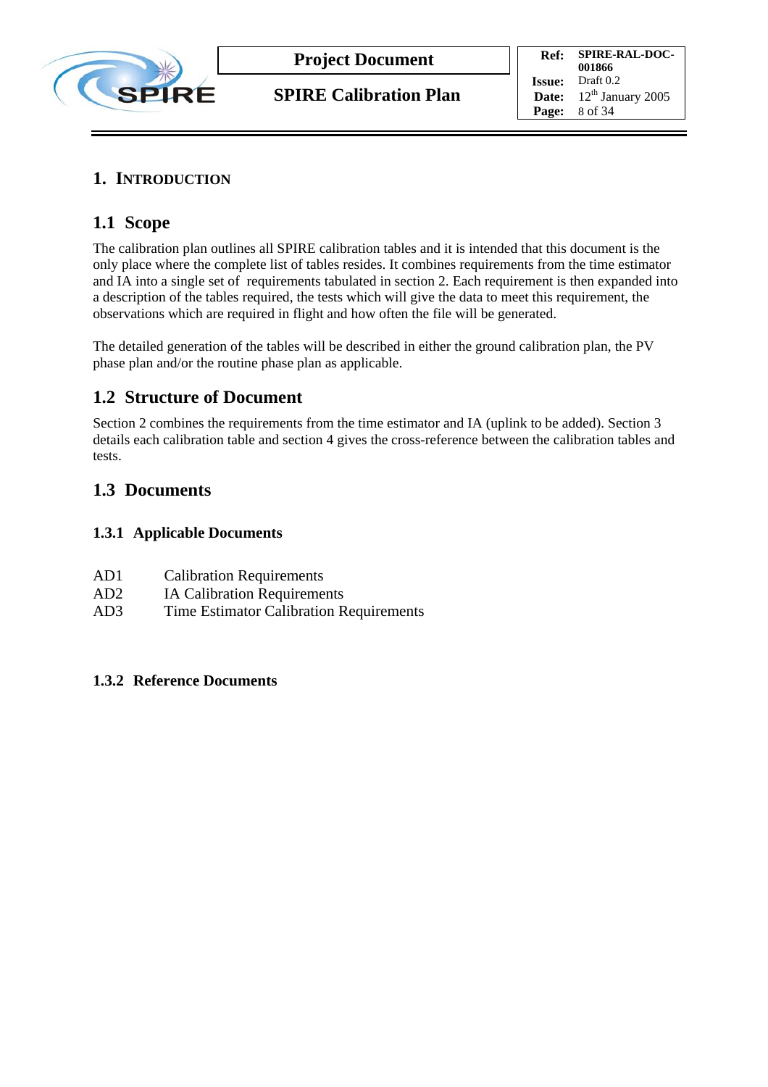

## **1. INTRODUCTION**

## **1.1 Scope**

The calibration plan outlines all SPIRE calibration tables and it is intended that this document is the only place where the complete list of tables resides. It combines requirements from the time estimator and IA into a single set of requirements tabulated in section 2. Each requirement is then expanded into a description of the tables required, the tests which will give the data to meet this requirement, the observations which are required in flight and how often the file will be generated.

The detailed generation of the tables will be described in either the ground calibration plan, the PV phase plan and/or the routine phase plan as applicable.

## **1.2 Structure of Document**

Section 2 combines the requirements from the time estimator and IA (uplink to be added). Section 3 details each calibration table and section 4 gives the cross-reference between the calibration tables and tests.

## **1.3 Documents**

#### **1.3.1 Applicable Documents**

| AD1 | <b>Calibration Requirements</b> |
|-----|---------------------------------|
|-----|---------------------------------|

- AD2 IA Calibration Requirements
- AD3 Time Estimator Calibration Requirements

#### **1.3.2 Reference Documents**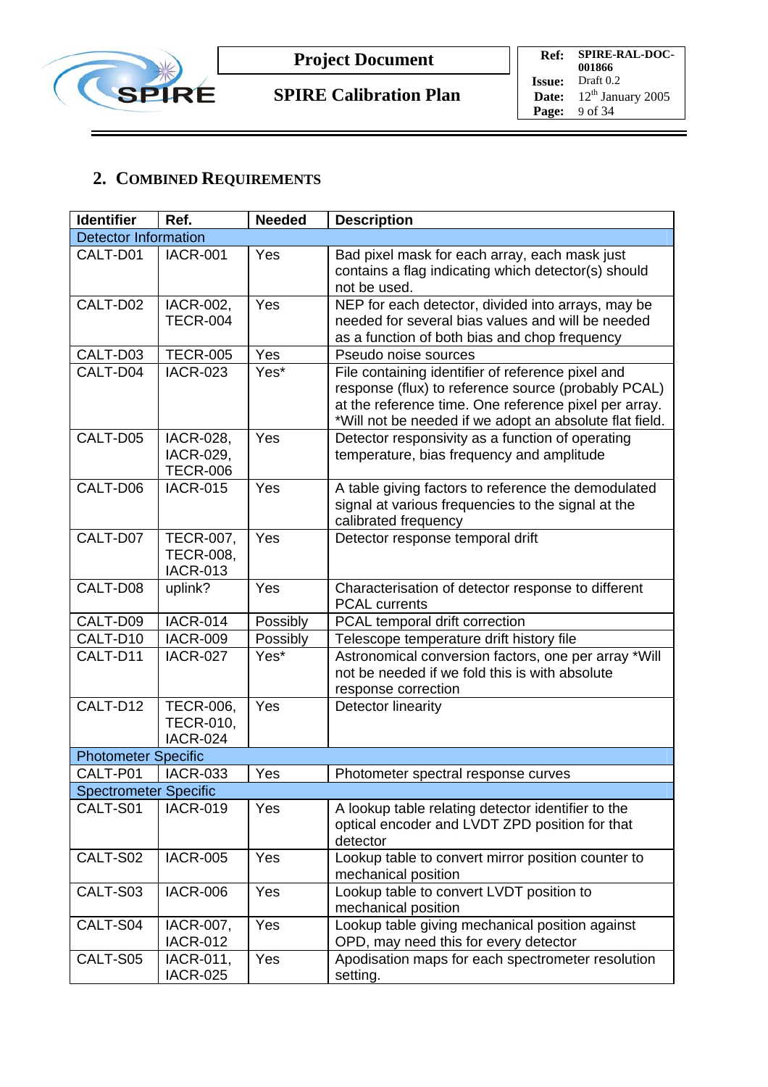

# **2. COMBINED REQUIREMENTS**

| <b>Identifier</b>            | Ref.                                                    | <b>Needed</b> | <b>Description</b>                                                                                                                                                                                                           |
|------------------------------|---------------------------------------------------------|---------------|------------------------------------------------------------------------------------------------------------------------------------------------------------------------------------------------------------------------------|
| <b>Detector Information</b>  |                                                         |               |                                                                                                                                                                                                                              |
| CALT-D01                     | <b>IACR-001</b>                                         | Yes           | Bad pixel mask for each array, each mask just<br>contains a flag indicating which detector(s) should<br>not be used.                                                                                                         |
| CALT-D02                     | IACR-002,<br><b>TECR-004</b>                            | Yes           | NEP for each detector, divided into arrays, may be<br>needed for several bias values and will be needed<br>as a function of both bias and chop frequency                                                                     |
| CALT-D03                     | <b>TECR-005</b>                                         | Yes           | Pseudo noise sources                                                                                                                                                                                                         |
| CALT-D04                     | <b>IACR-023</b>                                         | Yes*          | File containing identifier of reference pixel and<br>response (flux) to reference source (probably PCAL)<br>at the reference time. One reference pixel per array.<br>*Will not be needed if we adopt an absolute flat field. |
| CALT-D05                     | IACR-028,<br><b>IACR-029,</b><br><b>TECR-006</b>        | Yes           | Detector responsivity as a function of operating<br>temperature, bias frequency and amplitude                                                                                                                                |
| CALT-D06                     | <b>IACR-015</b>                                         | Yes           | A table giving factors to reference the demodulated<br>signal at various frequencies to the signal at the<br>calibrated frequency                                                                                            |
| CALT-D07                     | <b>TECR-007,</b><br><b>TECR-008,</b><br><b>IACR-013</b> | Yes           | Detector response temporal drift                                                                                                                                                                                             |
| CALT-D08                     | uplink?                                                 | Yes           | Characterisation of detector response to different<br><b>PCAL currents</b>                                                                                                                                                   |
| CALT-D09                     | <b>IACR-014</b>                                         | Possibly      | PCAL temporal drift correction                                                                                                                                                                                               |
| CALT-D10                     | <b>IACR-009</b>                                         | Possibly      | Telescope temperature drift history file                                                                                                                                                                                     |
| CALT-D11                     | <b>IACR-027</b>                                         | Yes*          | Astronomical conversion factors, one per array *Will<br>not be needed if we fold this is with absolute<br>response correction                                                                                                |
| CALT-D12                     | <b>TECR-006,</b><br><b>TECR-010,</b><br><b>IACR-024</b> | Yes           | <b>Detector linearity</b>                                                                                                                                                                                                    |
| <b>Photometer Specific</b>   |                                                         |               |                                                                                                                                                                                                                              |
| CALT-P01                     | <b>IACR-033</b>                                         | Yes           | Photometer spectral response curves                                                                                                                                                                                          |
| <b>Spectrometer Specific</b> |                                                         |               |                                                                                                                                                                                                                              |
| CALT-S01                     | <b>IACR-019</b>                                         | Yes           | A lookup table relating detector identifier to the<br>optical encoder and LVDT ZPD position for that<br>detector                                                                                                             |
| CALT-S02                     | <b>IACR-005</b>                                         | Yes           | Lookup table to convert mirror position counter to<br>mechanical position                                                                                                                                                    |
| CALT-S03                     | <b>IACR-006</b>                                         | Yes           | Lookup table to convert LVDT position to<br>mechanical position                                                                                                                                                              |
| CALT-S04                     | IACR-007,<br><b>IACR-012</b>                            | Yes           | Lookup table giving mechanical position against<br>OPD, may need this for every detector                                                                                                                                     |
| CALT-S05                     | IACR-011,<br><b>IACR-025</b>                            | Yes           | Apodisation maps for each spectrometer resolution<br>setting.                                                                                                                                                                |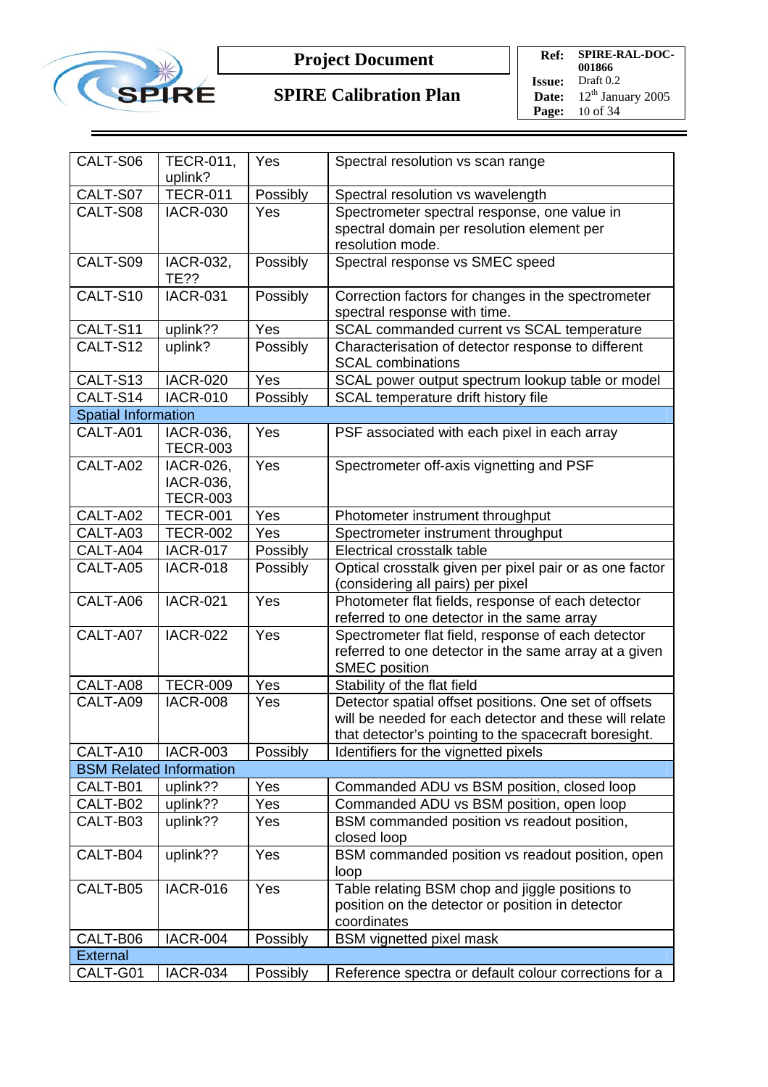

## **SPIRE Calibration Plan**

**Ref: SPIRE-RAL-DOC-001866 Issue:** Draft 0.2 **Date:**  $12^{\text{th}}$  January 2005 **Page:** 10 of 34

| CALT-S06                       | <b>TECR-011,</b>             | Yes      |                                                         |
|--------------------------------|------------------------------|----------|---------------------------------------------------------|
|                                | uplink?                      |          | Spectral resolution vs scan range                       |
| CALT-S07                       | <b>TECR-011</b>              | Possibly | Spectral resolution vs wavelength                       |
| CALT-S08                       | <b>IACR-030</b>              | Yes      | Spectrometer spectral response, one value in            |
|                                |                              |          | spectral domain per resolution element per              |
|                                |                              |          | resolution mode.                                        |
| CALT-S09                       | IACR-032,                    | Possibly | Spectral response vs SMEC speed                         |
|                                | <b>TE??</b>                  |          |                                                         |
| CALT-S10                       | <b>IACR-031</b>              | Possibly | Correction factors for changes in the spectrometer      |
|                                |                              |          | spectral response with time.                            |
| CALT-S11                       | uplink??                     | Yes      | SCAL commanded current vs SCAL temperature              |
| CALT-S12                       | uplink?                      | Possibly | Characterisation of detector response to different      |
|                                |                              |          | <b>SCAL combinations</b>                                |
| CALT-S13                       | <b>IACR-020</b>              | Yes      | SCAL power output spectrum lookup table or model        |
| CALT-S14                       | <b>IACR-010</b>              | Possibly | SCAL temperature drift history file                     |
| <b>Spatial Information</b>     |                              |          |                                                         |
| CALT-A01                       | IACR-036,<br><b>TECR-003</b> | Yes      | PSF associated with each pixel in each array            |
| CALT-A02                       | IACR-026,                    | Yes      | Spectrometer off-axis vignetting and PSF                |
|                                | <b>IACR-036,</b>             |          |                                                         |
|                                | <b>TECR-003</b>              |          |                                                         |
| CALT-A02                       | <b>TECR-001</b>              | Yes      | Photometer instrument throughput                        |
| CALT-A03                       | <b>TECR-002</b>              | Yes      | Spectrometer instrument throughput                      |
| CALT-A04                       | <b>IACR-017</b>              | Possibly | Electrical crosstalk table                              |
| CALT-A05                       | <b>IACR-018</b>              | Possibly | Optical crosstalk given per pixel pair or as one factor |
|                                |                              |          | (considering all pairs) per pixel                       |
| CALT-A06                       | <b>IACR-021</b>              | Yes      | Photometer flat fields, response of each detector       |
|                                |                              |          | referred to one detector in the same array              |
| CALT-A07                       | <b>IACR-022</b>              | Yes      | Spectrometer flat field, response of each detector      |
|                                |                              |          | referred to one detector in the same array at a given   |
|                                |                              |          | <b>SMEC</b> position                                    |
| CALT-A08                       | <b>TECR-009</b>              | Yes      | Stability of the flat field                             |
| CALT-A09                       | <b>IACR-008</b>              | Yes      | Detector spatial offset positions. One set of offsets   |
|                                |                              |          | will be needed for each detector and these will relate  |
|                                |                              |          | that detector's pointing to the spacecraft boresight.   |
| CALT-A10                       | <b>IACR-003</b>              | Possibly | Identifiers for the vignetted pixels                    |
| <b>BSM Related Information</b> |                              |          |                                                         |
| CALT-B01                       | uplink??                     | Yes      | Commanded ADU vs BSM position, closed loop              |
| CALT-B02                       | uplink??                     | Yes      | Commanded ADU vs BSM position, open loop                |
| CALT-B03                       | uplink??                     | Yes      | BSM commanded position vs readout position,             |
|                                |                              |          | closed loop                                             |
| CALT-B04                       | uplink??                     | Yes      | BSM commanded position vs readout position, open        |
|                                |                              |          | loop                                                    |
| CALT-B05                       | <b>IACR-016</b>              | Yes      | Table relating BSM chop and jiggle positions to         |
|                                |                              |          | position on the detector or position in detector        |
|                                |                              |          | coordinates                                             |
| CALT-B06                       | <b>IACR-004</b>              | Possibly | <b>BSM</b> vignetted pixel mask                         |
| <b>External</b>                |                              |          |                                                         |
| CALT-G01                       | <b>IACR-034</b>              | Possibly | Reference spectra or default colour corrections for a   |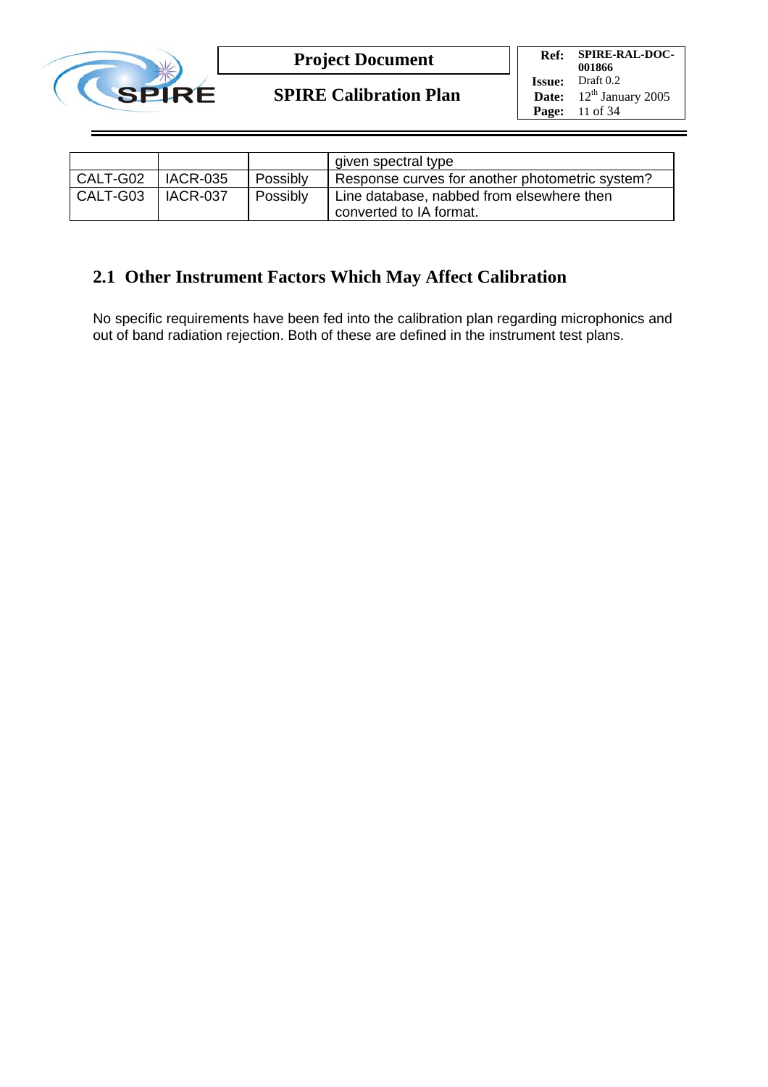

**SPIRE Calibration Plan**

**Ref: SPIRE-RAL-DOC-001866 Issue:** Draft 0.2 **Date:**  $12^{th}$  January 2005 **Page:** 11 of 34

|          |            |          | given spectral type                             |
|----------|------------|----------|-------------------------------------------------|
| CALT-G02 | l IACR-035 | Possibly | Response curves for another photometric system? |
| CALT-G03 | l IACR-037 | Possibly | Line database, nabbed from elsewhere then       |
|          |            |          | converted to IA format.                         |

## **2.1 Other Instrument Factors Which May Affect Calibration**

No specific requirements have been fed into the calibration plan regarding microphonics and out of band radiation rejection. Both of these are defined in the instrument test plans.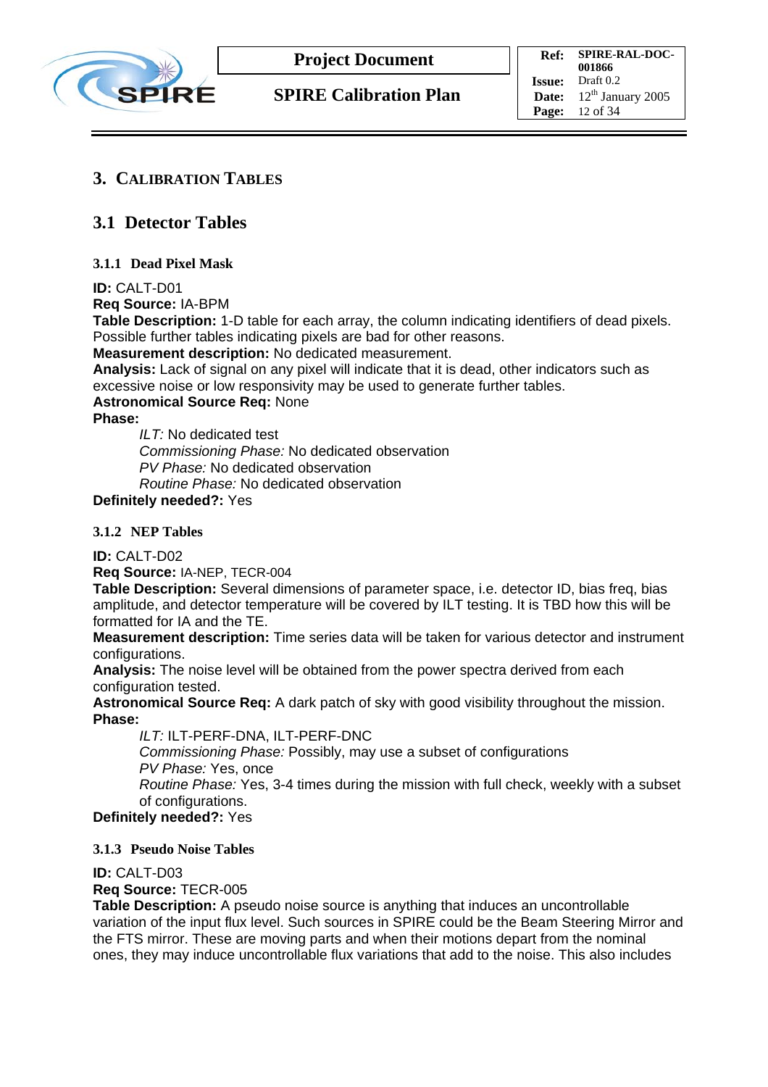

## **3. CALIBRATION TABLES**

## **3.1 Detector Tables**

#### **3.1.1 Dead Pixel Mask**

#### **ID:** CALT-D01

**Req Source:** IA-BPM

**Table Description:** 1-D table for each array, the column indicating identifiers of dead pixels. Possible further tables indicating pixels are bad for other reasons.

**Measurement description:** No dedicated measurement.

**Analysis:** Lack of signal on any pixel will indicate that it is dead, other indicators such as excessive noise or low responsivity may be used to generate further tables.

#### **Astronomical Source Req:** None

**Phase:** 

*ILT:* No dedicated test *Commissioning Phase:* No dedicated observation *PV Phase:* No dedicated observation *Routine Phase:* No dedicated observation

**Definitely needed?:** Yes

#### **3.1.2 NEP Tables**

**ID:** CALT-D02

**Req Source:** IA-NEP, TECR-004

**Table Description:** Several dimensions of parameter space, i.e. detector ID, bias freq, bias amplitude, and detector temperature will be covered by ILT testing. It is TBD how this will be formatted for IA and the TE.

**Measurement description:** Time series data will be taken for various detector and instrument configurations.

**Analysis:** The noise level will be obtained from the power spectra derived from each configuration tested.

**Astronomical Source Req:** A dark patch of sky with good visibility throughout the mission. **Phase:** 

*ILT:* ILT-PERF-DNA, ILT-PERF-DNC *Commissioning Phase:* Possibly, may use a subset of configurations *PV Phase:* Yes, once *Routine Phase:* Yes, 3-4 times during the mission with full check, weekly with a subset of configurations.

**Definitely needed?:** Yes

#### **3.1.3 Pseudo Noise Tables**

#### **ID:** CALT-D03

#### **Req Source:** TECR-005

**Table Description:** A pseudo noise source is anything that induces an uncontrollable variation of the input flux level. Such sources in SPIRE could be the Beam Steering Mirror and the FTS mirror. These are moving parts and when their motions depart from the nominal ones, they may induce uncontrollable flux variations that add to the noise. This also includes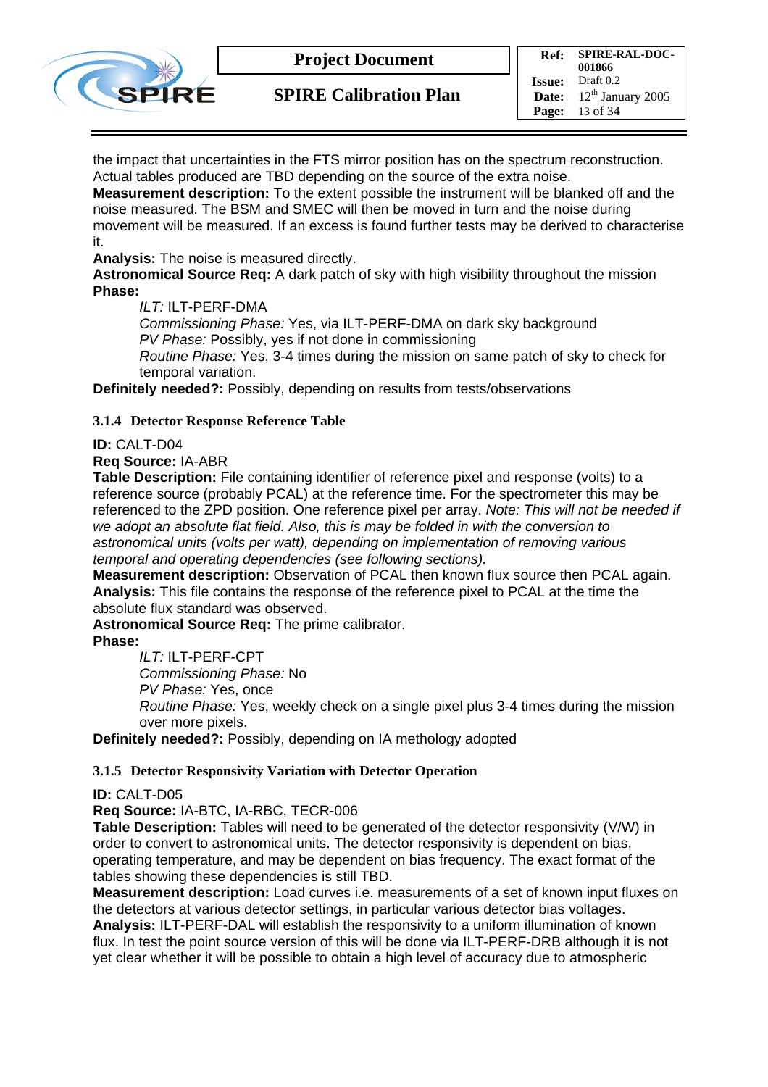

**SPIRE Calibration Plan**

**Ref: SPIRE-RAL-DOC-001866**<br>Draft 0.2 **Issue: Date:**  $12^{th}$  January 2005 **Page:** 13 of 34

the impact that uncertainties in the FTS mirror position has on the spectrum reconstruction. Actual tables produced are TBD depending on the source of the extra noise.

**Measurement description:** To the extent possible the instrument will be blanked off and the noise measured. The BSM and SMEC will then be moved in turn and the noise during movement will be measured. If an excess is found further tests may be derived to characterise it.

**Analysis:** The noise is measured directly.

**Astronomical Source Req:** A dark patch of sky with high visibility throughout the mission **Phase:** 

*ILT:* ILT-PERF-DMA

*Commissioning Phase:* Yes, via ILT-PERF-DMA on dark sky background *PV Phase:* Possibly, yes if not done in commissioning

*Routine Phase:* Yes, 3-4 times during the mission on same patch of sky to check for temporal variation.

**Definitely needed?:** Possibly, depending on results from tests/observations

#### **3.1.4 Detector Response Reference Table**

#### **ID:** CALT-D04

**Req Source:** IA-ABR

**Table Description:** File containing identifier of reference pixel and response (volts) to a reference source (probably PCAL) at the reference time. For the spectrometer this may be referenced to the ZPD position. One reference pixel per array. *Note: This will not be needed if we adopt an absolute flat field. Also, this is may be folded in with the conversion to astronomical units (volts per watt), depending on implementation of removing various temporal and operating dependencies (see following sections).* 

**Measurement description:** Observation of PCAL then known flux source then PCAL again. **Analysis:** This file contains the response of the reference pixel to PCAL at the time the absolute flux standard was observed.

**Astronomical Source Req:** The prime calibrator.

#### **Phase:**

*ILT:* ILT-PERF-CPT

*Commissioning Phase:* No

*PV Phase:* Yes, once

*Routine Phase:* Yes, weekly check on a single pixel plus 3-4 times during the mission over more pixels.

**Definitely needed?:** Possibly, depending on IA methology adopted

#### **3.1.5 Detector Responsivity Variation with Detector Operation**

#### **ID:** CALT-D05

**Req Source:** IA-BTC, IA-RBC, TECR-006

**Table Description:** Tables will need to be generated of the detector responsivity (V/W) in order to convert to astronomical units. The detector responsivity is dependent on bias, operating temperature, and may be dependent on bias frequency. The exact format of the tables showing these dependencies is still TBD.

**Measurement description:** Load curves i.e. measurements of a set of known input fluxes on the detectors at various detector settings, in particular various detector bias voltages. **Analysis:** ILT-PERF-DAL will establish the responsivity to a uniform illumination of known flux. In test the point source version of this will be done via ILT-PERF-DRB although it is not yet clear whether it will be possible to obtain a high level of accuracy due to atmospheric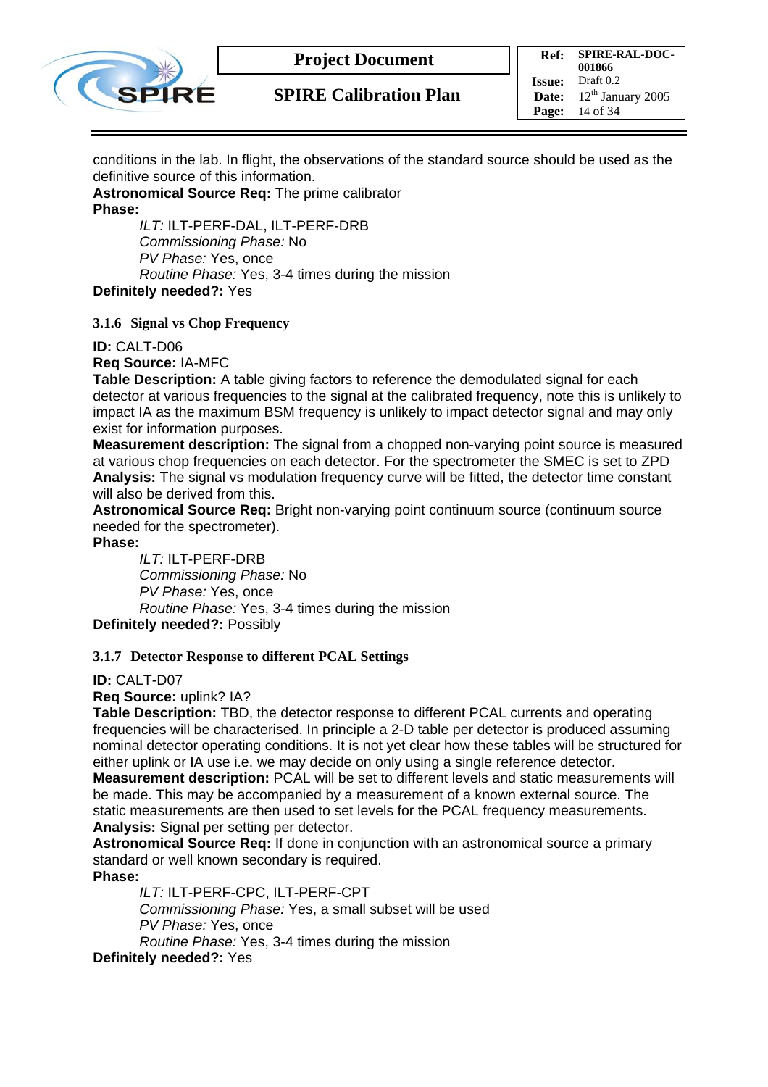

conditions in the lab. In flight, the observations of the standard source should be used as the definitive source of this information.

**Astronomical Source Req:** The prime calibrator **Phase:** 

*ILT:* ILT-PERF-DAL, ILT-PERF-DRB *Commissioning Phase:* No *PV Phase:* Yes, once *Routine Phase:* Yes, 3-4 times during the mission **Definitely needed?:** Yes

**3.1.6 Signal vs Chop Frequency** 

**ID:** CALT-D06

**Req Source:** IA-MFC

**Table Description:** A table giving factors to reference the demodulated signal for each detector at various frequencies to the signal at the calibrated frequency, note this is unlikely to impact IA as the maximum BSM frequency is unlikely to impact detector signal and may only exist for information purposes.

**Measurement description:** The signal from a chopped non-varying point source is measured at various chop frequencies on each detector. For the spectrometer the SMEC is set to ZPD **Analysis:** The signal vs modulation frequency curve will be fitted, the detector time constant will also be derived from this.

**Astronomical Source Req:** Bright non-varying point continuum source (continuum source needed for the spectrometer).

**Phase:** 

*ILT:* ILT-PERF-DRB *Commissioning Phase:* No *PV Phase:* Yes, once *Routine Phase:* Yes, 3-4 times during the mission **Definitely needed?:** Possibly

#### **3.1.7 Detector Response to different PCAL Settings**

**ID:** CALT-D07

**Req Source:** uplink? IA?

**Table Description:** TBD, the detector response to different PCAL currents and operating frequencies will be characterised. In principle a 2-D table per detector is produced assuming nominal detector operating conditions. It is not yet clear how these tables will be structured for either uplink or IA use i.e. we may decide on only using a single reference detector.

**Measurement description:** PCAL will be set to different levels and static measurements will be made. This may be accompanied by a measurement of a known external source. The static measurements are then used to set levels for the PCAL frequency measurements. **Analysis:** Signal per setting per detector.

**Astronomical Source Req:** If done in conjunction with an astronomical source a primary standard or well known secondary is required.

**Phase:** 

*ILT:* ILT-PERF-CPC, ILT-PERF-CPT

*Commissioning Phase:* Yes, a small subset will be used *PV Phase:* Yes, once

*Routine Phase:* Yes, 3-4 times during the mission

**Definitely needed?:** Yes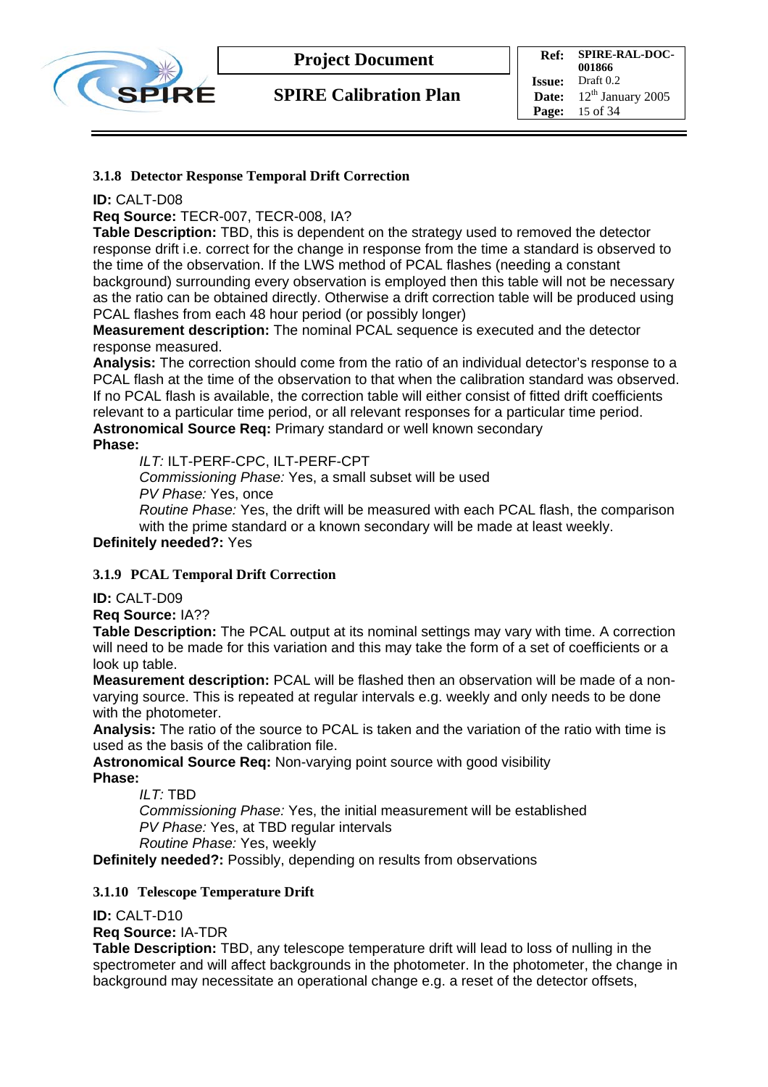

**SPIRE Calibration Plan**

**Ref: SPIRE-RAL-DOC-001866**<br>Draft 0.2 **Issue: Date:**  $12^{th}$  January 2005 **Page:** 15 of 34

#### **3.1.8 Detector Response Temporal Drift Correction**

#### **ID:** CALT-D08

**Req Source:** TECR-007, TECR-008, IA?

**Table Description:** TBD, this is dependent on the strategy used to removed the detector response drift i.e. correct for the change in response from the time a standard is observed to the time of the observation. If the LWS method of PCAL flashes (needing a constant background) surrounding every observation is employed then this table will not be necessary as the ratio can be obtained directly. Otherwise a drift correction table will be produced using PCAL flashes from each 48 hour period (or possibly longer)

**Measurement description:** The nominal PCAL sequence is executed and the detector response measured.

**Analysis:** The correction should come from the ratio of an individual detector's response to a PCAL flash at the time of the observation to that when the calibration standard was observed. If no PCAL flash is available, the correction table will either consist of fitted drift coefficients relevant to a particular time period, or all relevant responses for a particular time period. **Astronomical Source Req:** Primary standard or well known secondary **Phase:** 

*ILT:* ILT-PERF-CPC, ILT-PERF-CPT

*Commissioning Phase:* Yes, a small subset will be used *PV Phase:* Yes, once

*Routine Phase:* Yes, the drift will be measured with each PCAL flash, the comparison with the prime standard or a known secondary will be made at least weekly.

**Definitely needed?:** Yes

#### **3.1.9 PCAL Temporal Drift Correction**

**ID:** CALT-D09

**Req Source:** IA??

**Table Description:** The PCAL output at its nominal settings may vary with time. A correction will need to be made for this variation and this may take the form of a set of coefficients or a look up table.

**Measurement description:** PCAL will be flashed then an observation will be made of a nonvarying source. This is repeated at regular intervals e.g. weekly and only needs to be done with the photometer.

**Analysis:** The ratio of the source to PCAL is taken and the variation of the ratio with time is used as the basis of the calibration file.

**Astronomical Source Req:** Non-varying point source with good visibility **Phase:** 

*ILT:* TBD

*Commissioning Phase:* Yes, the initial measurement will be established *PV Phase:* Yes, at TBD regular intervals *Routine Phase:* Yes, weekly

**Definitely needed?:** Possibly, depending on results from observations

#### **3.1.10 Telescope Temperature Drift**

**ID:** CALT-D10

**Req Source:** IA-TDR

**Table Description:** TBD, any telescope temperature drift will lead to loss of nulling in the spectrometer and will affect backgrounds in the photometer. In the photometer, the change in background may necessitate an operational change e.g. a reset of the detector offsets,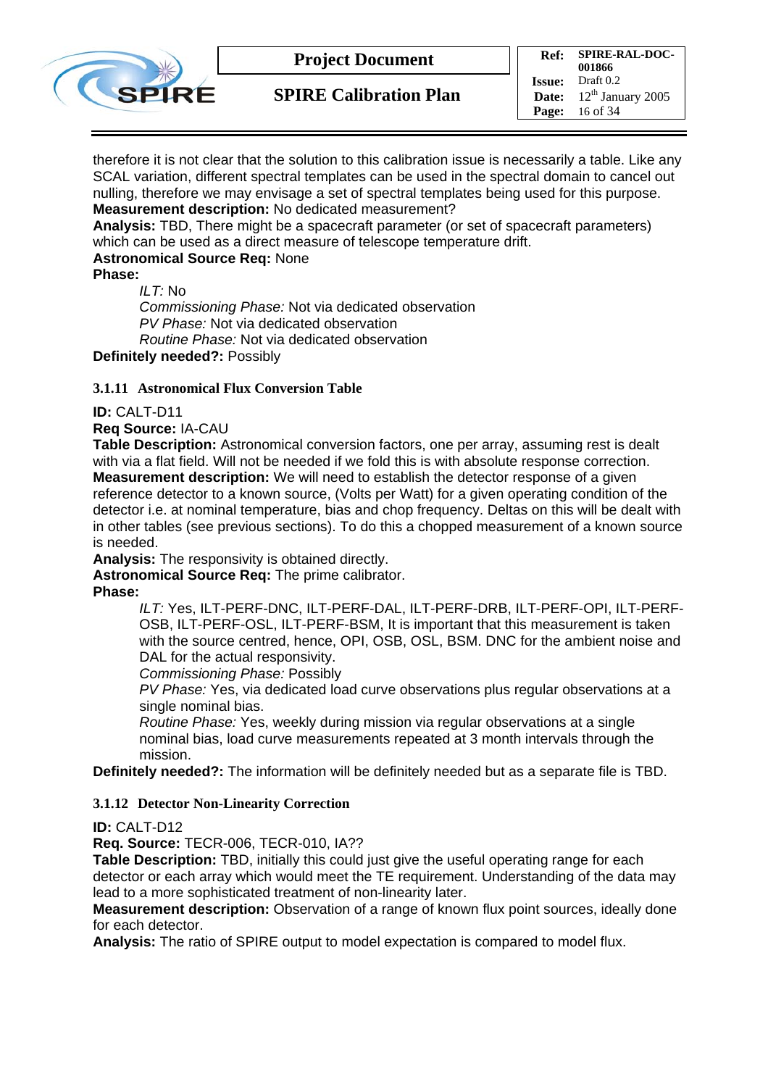

**SPIRE Calibration Plan**

**Ref: SPIRE-RAL-DOC-001866**<br>Draft 0.2 **Issue: Date:**  $12^{th}$  January 2005 **Page:** 16 of 34

therefore it is not clear that the solution to this calibration issue is necessarily a table. Like any SCAL variation, different spectral templates can be used in the spectral domain to cancel out nulling, therefore we may envisage a set of spectral templates being used for this purpose. **Measurement description:** No dedicated measurement?

**Analysis:** TBD, There might be a spacecraft parameter (or set of spacecraft parameters) which can be used as a direct measure of telescope temperature drift.

#### **Astronomical Source Req:** None

**Phase:** 

*ILT:* No *Commissioning Phase:* Not via dedicated observation *PV Phase:* Not via dedicated observation *Routine Phase:* Not via dedicated observation

**Definitely needed?:** Possibly

#### **3.1.11 Astronomical Flux Conversion Table**

#### **ID:** CALT-D11

**Req Source:** IA-CAU

**Table Description:** Astronomical conversion factors, one per array, assuming rest is dealt with via a flat field. Will not be needed if we fold this is with absolute response correction. **Measurement description:** We will need to establish the detector response of a given reference detector to a known source, (Volts per Watt) for a given operating condition of the detector i.e. at nominal temperature, bias and chop frequency. Deltas on this will be dealt with in other tables (see previous sections). To do this a chopped measurement of a known source is needed.

**Analysis:** The responsivity is obtained directly.

**Astronomical Source Req:** The prime calibrator.

**Phase:** 

*ILT:* Yes, ILT-PERF-DNC, ILT-PERF-DAL, ILT-PERF-DRB, ILT-PERF-OPI, ILT-PERF-OSB, ILT-PERF-OSL, ILT-PERF-BSM, It is important that this measurement is taken with the source centred, hence, OPI, OSB, OSL, BSM. DNC for the ambient noise and DAL for the actual responsivity.

*Commissioning Phase:* Possibly

*PV Phase:* Yes, via dedicated load curve observations plus regular observations at a single nominal bias.

*Routine Phase:* Yes, weekly during mission via regular observations at a single nominal bias, load curve measurements repeated at 3 month intervals through the mission.

**Definitely needed?:** The information will be definitely needed but as a separate file is TBD.

#### **3.1.12 Detector Non-Linearity Correction**

#### **ID:** CALT-D12

**Req. Source:** TECR-006, TECR-010, IA??

**Table Description:** TBD, initially this could just give the useful operating range for each detector or each array which would meet the TE requirement. Understanding of the data may lead to a more sophisticated treatment of non-linearity later.

**Measurement description:** Observation of a range of known flux point sources, ideally done for each detector.

**Analysis:** The ratio of SPIRE output to model expectation is compared to model flux.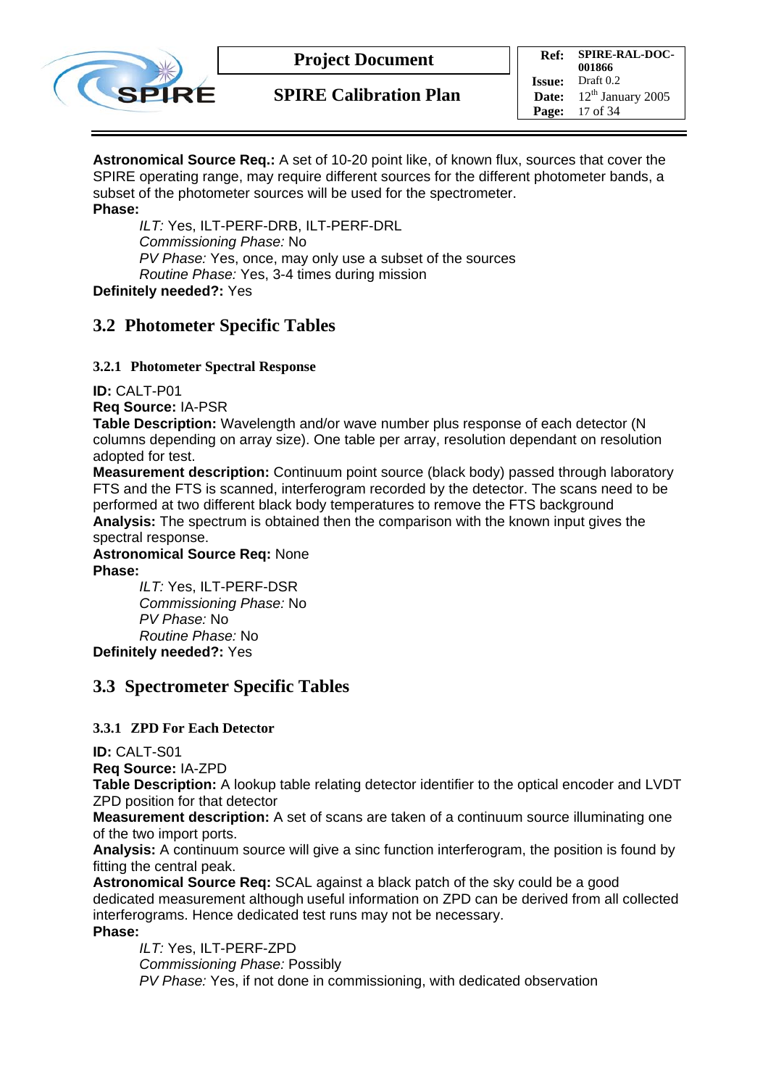

**SPIRE Calibration Plan**

**Ref: SPIRE-RAL-DOC-001866 Issue:** Draft 0.2 **Date:**  $12^{th}$  January 2005 **Page:** 17 of 34

**Astronomical Source Req.:** A set of 10-20 point like, of known flux, sources that cover the SPIRE operating range, may require different sources for the different photometer bands, a subset of the photometer sources will be used for the spectrometer. **Phase:** 

*ILT:* Yes, ILT-PERF-DRB, ILT-PERF-DRL *Commissioning Phase:* No *PV Phase:* Yes, once, may only use a subset of the sources *Routine Phase:* Yes, 3-4 times during mission **Definitely needed?:** Yes

## **3.2 Photometer Specific Tables**

#### **3.2.1 Photometer Spectral Response**

**ID:** CALT-P01

**Req Source:** IA-PSR

**Table Description:** Wavelength and/or wave number plus response of each detector (N columns depending on array size). One table per array, resolution dependant on resolution adopted for test.

**Measurement description:** Continuum point source (black body) passed through laboratory FTS and the FTS is scanned, interferogram recorded by the detector. The scans need to be performed at two different black body temperatures to remove the FTS background **Analysis:** The spectrum is obtained then the comparison with the known input gives the spectral response.

**Astronomical Source Req:** None **Phase:** 

*ILT:* Yes, ILT-PERF-DSR *Commissioning Phase:* No *PV Phase:* No *Routine Phase:* No **Definitely needed?:** Yes

## **3.3 Spectrometer Specific Tables**

#### **3.3.1 ZPD For Each Detector**

**ID:** CALT-S01

**Req Source:** IA-ZPD

**Table Description:** A lookup table relating detector identifier to the optical encoder and LVDT ZPD position for that detector

**Measurement description:** A set of scans are taken of a continuum source illuminating one of the two import ports.

**Analysis:** A continuum source will give a sinc function interferogram, the position is found by fitting the central peak.

**Astronomical Source Req:** SCAL against a black patch of the sky could be a good dedicated measurement although useful information on ZPD can be derived from all collected interferograms. Hence dedicated test runs may not be necessary. **Phase:** 

*ILT:* Yes, ILT-PERF-ZPD *Commissioning Phase:* Possibly *PV Phase:* Yes, if not done in commissioning, with dedicated observation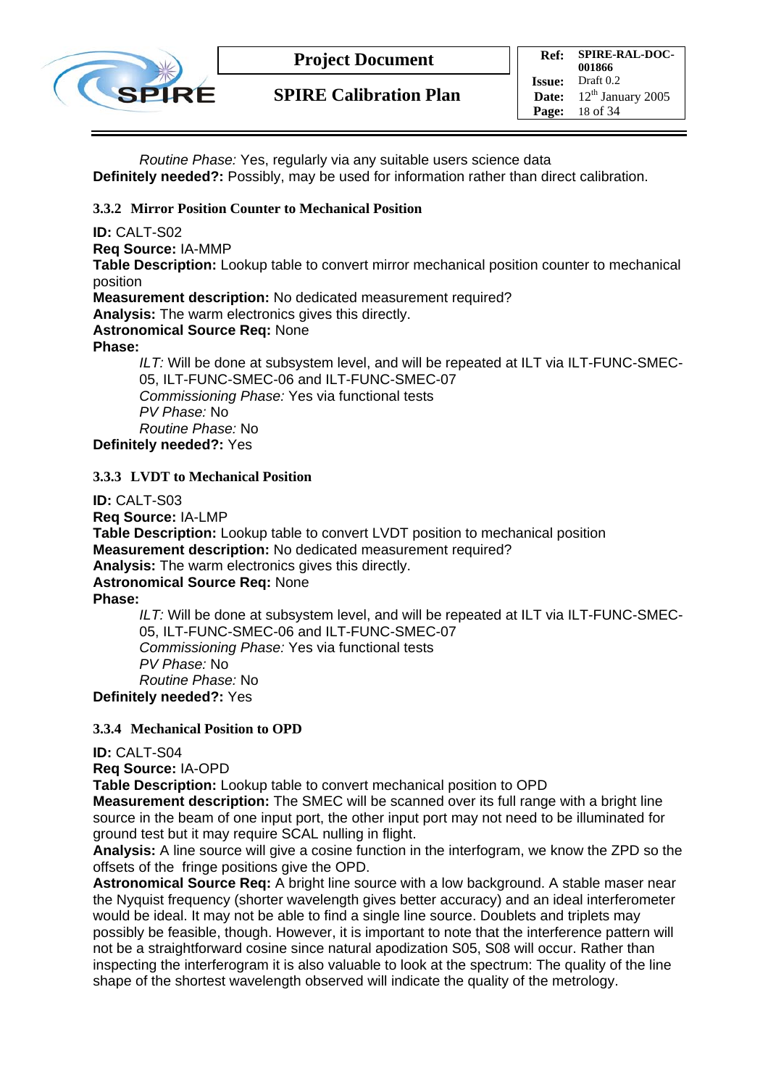

*Routine Phase:* Yes, regularly via any suitable users science data **Definitely needed?:** Possibly, may be used for information rather than direct calibration.

#### **3.3.2 Mirror Position Counter to Mechanical Position**

**ID:** CALT-S02

**Req Source:** IA-MMP

**Table Description:** Lookup table to convert mirror mechanical position counter to mechanical position

**Measurement description:** No dedicated measurement required?

**Analysis:** The warm electronics gives this directly.

**Astronomical Source Req:** None

**Phase:** 

*ILT:* Will be done at subsystem level, and will be repeated at ILT via ILT-FUNC-SMEC-05, ILT-FUNC-SMEC-06 and ILT-FUNC-SMEC-07 *Commissioning Phase:* Yes via functional tests *PV Phase:* No *Routine Phase:* No **Definitely needed?:** Yes

#### **3.3.3 LVDT to Mechanical Position**

**ID:** CALT-S03

**Req Source:** IA-LMP

**Table Description:** Lookup table to convert LVDT position to mechanical position **Measurement description:** No dedicated measurement required?

**Analysis:** The warm electronics gives this directly.

#### **Astronomical Source Req:** None

**Phase:** 

*ILT:* Will be done at subsystem level, and will be repeated at ILT via ILT-FUNC-SMEC-05, ILT-FUNC-SMEC-06 and ILT-FUNC-SMEC-07 *Commissioning Phase:* Yes via functional tests *PV Phase:* No *Routine Phase:* No **Definitely needed?:** Yes

**3.3.4 Mechanical Position to OPD** 

#### **ID:** CALT-S04

**Req Source:** IA-OPD

**Table Description:** Lookup table to convert mechanical position to OPD

**Measurement description:** The SMEC will be scanned over its full range with a bright line source in the beam of one input port, the other input port may not need to be illuminated for ground test but it may require SCAL nulling in flight.

**Analysis:** A line source will give a cosine function in the interfogram, we know the ZPD so the offsets of the fringe positions give the OPD.

**Astronomical Source Req:** A bright line source with a low background. A stable maser near the Nyquist frequency (shorter wavelength gives better accuracy) and an ideal interferometer would be ideal. It may not be able to find a single line source. Doublets and triplets may possibly be feasible, though. However, it is important to note that the interference pattern will not be a straightforward cosine since natural apodization S05, S08 will occur. Rather than inspecting the interferogram it is also valuable to look at the spectrum: The quality of the line shape of the shortest wavelength observed will indicate the quality of the metrology.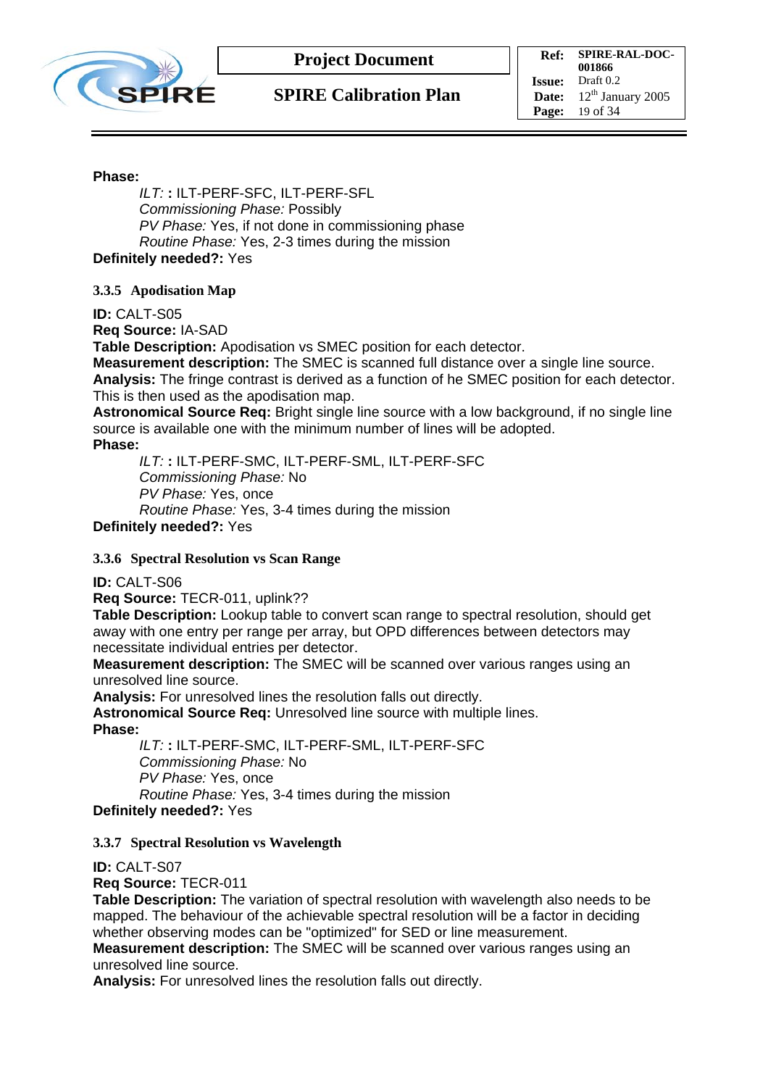

**Ref: SPIRE-RAL-DOC-001866 Issue:** Draft 0.2 **Date:**  $12^{th}$  January 2005 **Page:** 19 of 34

#### **Phase:**

*ILT:* **:** ILT-PERF-SFC, ILT-PERF-SFL *Commissioning Phase:* Possibly *PV Phase:* Yes, if not done in commissioning phase *Routine Phase:* Yes, 2-3 times during the mission **Definitely needed?:** Yes

**3.3.5 Apodisation Map** 

**ID:** CALT-S05

**Req Source:** IA-SAD

**Table Description:** Apodisation vs SMEC position for each detector.

**Measurement description:** The SMEC is scanned full distance over a single line source.

**Analysis:** The fringe contrast is derived as a function of he SMEC position for each detector. This is then used as the apodisation map.

**Astronomical Source Req:** Bright single line source with a low background, if no single line source is available one with the minimum number of lines will be adopted.

**Phase:** 

*ILT:* **:** ILT-PERF-SMC, ILT-PERF-SML, ILT-PERF-SFC *Commissioning Phase:* No *PV Phase:* Yes, once *Routine Phase:* Yes, 3-4 times during the mission

**Definitely needed?:** Yes

#### **3.3.6 Spectral Resolution vs Scan Range**

#### **ID:** CALT-S06

**Req Source:** TECR-011, uplink??

**Table Description:** Lookup table to convert scan range to spectral resolution, should get away with one entry per range per array, but OPD differences between detectors may necessitate individual entries per detector.

**Measurement description:** The SMEC will be scanned over various ranges using an unresolved line source.

**Analysis:** For unresolved lines the resolution falls out directly.

**Astronomical Source Req:** Unresolved line source with multiple lines.

**Phase:** 

*ILT:* **:** ILT-PERF-SMC, ILT-PERF-SML, ILT-PERF-SFC *Commissioning Phase:* No *PV Phase:* Yes, once *Routine Phase:* Yes, 3-4 times during the mission

**Definitely needed?:** Yes

#### **3.3.7 Spectral Resolution vs Wavelength**

**ID:** CALT-S07

**Req Source:** TECR-011

**Table Description:** The variation of spectral resolution with wavelength also needs to be mapped. The behaviour of the achievable spectral resolution will be a factor in deciding whether observing modes can be "optimized" for SED or line measurement.

**Measurement description:** The SMEC will be scanned over various ranges using an unresolved line source.

**Analysis:** For unresolved lines the resolution falls out directly.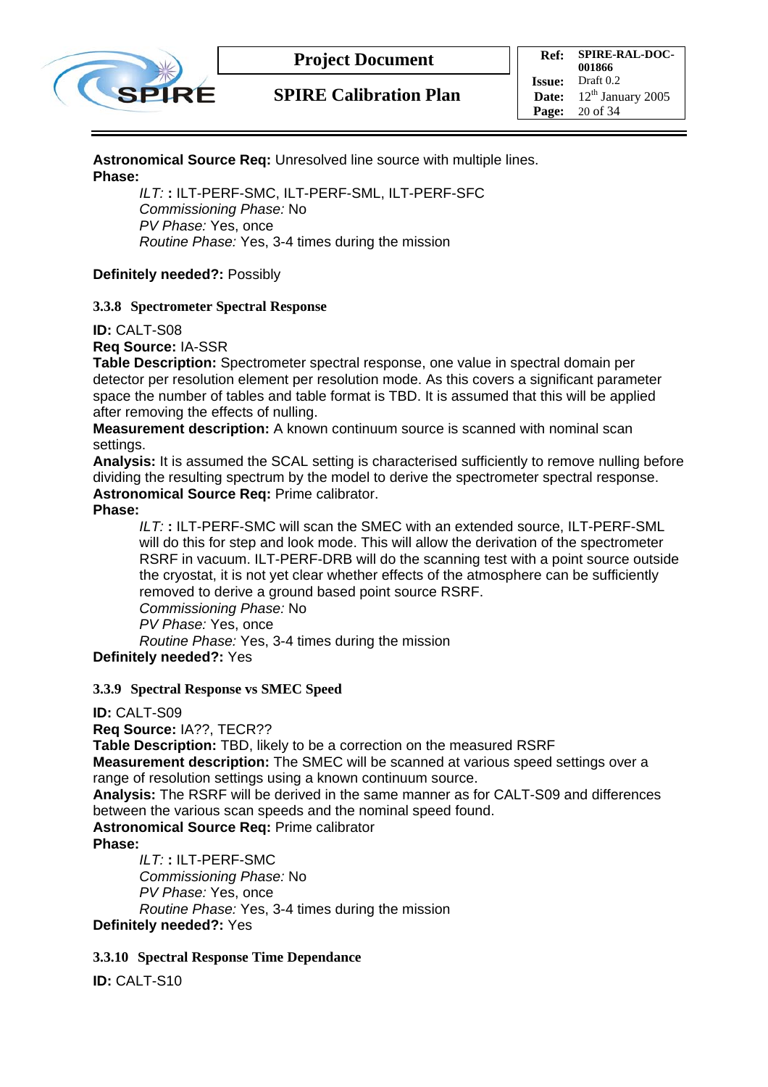

#### **Astronomical Source Req:** Unresolved line source with multiple lines. **Phase:**

*ILT:* **:** ILT-PERF-SMC, ILT-PERF-SML, ILT-PERF-SFC *Commissioning Phase:* No *PV Phase:* Yes, once *Routine Phase:* Yes, 3-4 times during the mission

#### **Definitely needed?:** Possibly

#### **3.3.8 Spectrometer Spectral Response**

**ID:** CALT-S08

**Req Source:** IA-SSR

**Table Description:** Spectrometer spectral response, one value in spectral domain per detector per resolution element per resolution mode. As this covers a significant parameter space the number of tables and table format is TBD. It is assumed that this will be applied after removing the effects of nulling.

**Measurement description:** A known continuum source is scanned with nominal scan settings.

**Analysis:** It is assumed the SCAL setting is characterised sufficiently to remove nulling before dividing the resulting spectrum by the model to derive the spectrometer spectral response. **Astronomical Source Req:** Prime calibrator.

#### **Phase:**

*ILT:* **:** ILT-PERF-SMC will scan the SMEC with an extended source, ILT-PERF-SML will do this for step and look mode. This will allow the derivation of the spectrometer RSRF in vacuum. ILT-PERF-DRB will do the scanning test with a point source outside the cryostat, it is not yet clear whether effects of the atmosphere can be sufficiently removed to derive a ground based point source RSRF. *Commissioning Phase:* No *PV Phase:* Yes, once *Routine Phase:* Yes, 3-4 times during the mission

**Definitely needed?:** Yes

#### **3.3.9 Spectral Response vs SMEC Speed**

#### **ID:** CALT-S09

**Req Source:** IA??, TECR??

**Table Description:** TBD, likely to be a correction on the measured RSRF

**Measurement description:** The SMEC will be scanned at various speed settings over a range of resolution settings using a known continuum source.

**Analysis:** The RSRF will be derived in the same manner as for CALT-S09 and differences between the various scan speeds and the nominal speed found.

**Astronomical Source Req:** Prime calibrator

**Phase:** 

*ILT:* **:** ILT-PERF-SMC *Commissioning Phase:* No *PV Phase:* Yes, once *Routine Phase:* Yes, 3-4 times during the mission **Definitely needed?:** Yes

#### **3.3.10 Spectral Response Time Dependance**

**ID:** CALT-S10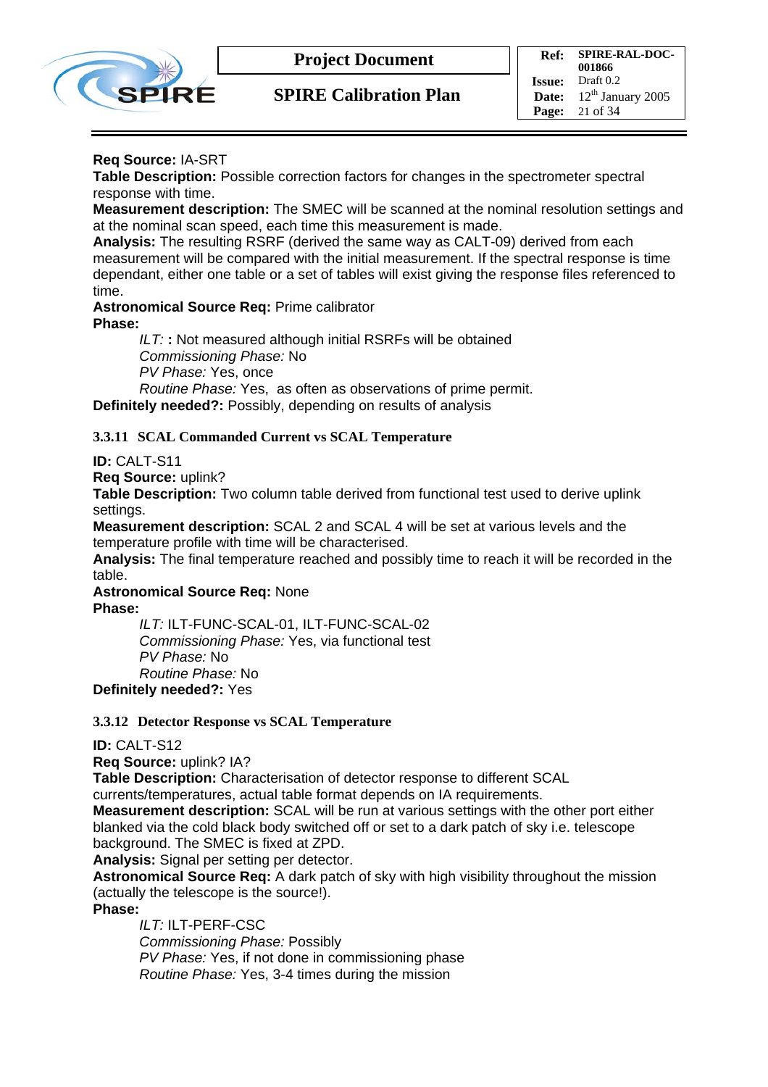

#### **Req Source:** IA-SRT

**Table Description:** Possible correction factors for changes in the spectrometer spectral response with time.

**Measurement description:** The SMEC will be scanned at the nominal resolution settings and at the nominal scan speed, each time this measurement is made.

**Analysis:** The resulting RSRF (derived the same way as CALT-09) derived from each measurement will be compared with the initial measurement. If the spectral response is time dependant, either one table or a set of tables will exist giving the response files referenced to time.

**Astronomical Source Req:** Prime calibrator **Phase:** 

*ILT:* **:** Not measured although initial RSRFs will be obtained *Commissioning Phase:* No *PV Phase:* Yes, once *Routine Phase:* Yes, as often as observations of prime permit.

**Definitely needed?:** Possibly, depending on results of analysis

#### **3.3.11 SCAL Commanded Current vs SCAL Temperature**

**ID:** CALT-S11

**Req Source:** uplink?

**Table Description:** Two column table derived from functional test used to derive uplink settings.

**Measurement description:** SCAL 2 and SCAL 4 will be set at various levels and the temperature profile with time will be characterised.

**Analysis:** The final temperature reached and possibly time to reach it will be recorded in the table.

**Astronomical Source Req:** None **Phase:** 

*ILT:* ILT-FUNC-SCAL-01, ILT-FUNC-SCAL-02 *Commissioning Phase:* Yes, via functional test *PV Phase:* No *Routine Phase:* No **Definitely needed?:** Yes

#### **3.3.12 Detector Response vs SCAL Temperature**

#### **ID:** CALT-S12

**Req Source:** uplink? IA?

**Table Description:** Characterisation of detector response to different SCAL

currents/temperatures, actual table format depends on IA requirements.

**Measurement description:** SCAL will be run at various settings with the other port either blanked via the cold black body switched off or set to a dark patch of sky i.e. telescope background. The SMEC is fixed at ZPD.

**Analysis:** Signal per setting per detector.

**Astronomical Source Req:** A dark patch of sky with high visibility throughout the mission (actually the telescope is the source!).

**Phase:** 

*ILT:* ILT-PERF-CSC *Commissioning Phase:* Possibly *PV Phase:* Yes, if not done in commissioning phase *Routine Phase:* Yes, 3-4 times during the mission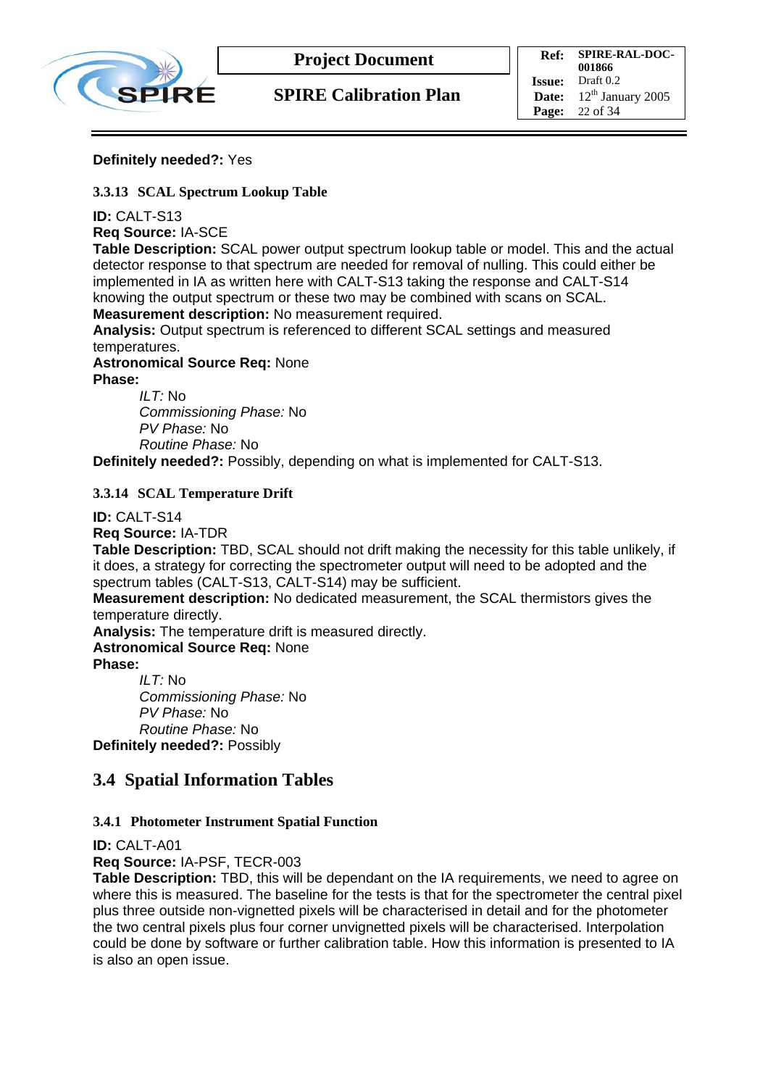

#### **Definitely needed?:** Yes

#### **3.3.13 SCAL Spectrum Lookup Table**

**ID:** CALT-S13

**Req Source:** IA-SCE

**Table Description:** SCAL power output spectrum lookup table or model. This and the actual detector response to that spectrum are needed for removal of nulling. This could either be implemented in IA as written here with CALT-S13 taking the response and CALT-S14 knowing the output spectrum or these two may be combined with scans on SCAL. **Measurement description:** No measurement required.

**Analysis:** Output spectrum is referenced to different SCAL settings and measured temperatures.

**Astronomical Source Req:** None **Phase:** 

> *ILT:* No *Commissioning Phase:* No *PV Phase:* No *Routine Phase:* No

**Definitely needed?:** Possibly, depending on what is implemented for CALT-S13.

**3.3.14 SCAL Temperature Drift** 

**ID:** CALT-S14

**Req Source:** IA-TDR

**Table Description:** TBD, SCAL should not drift making the necessity for this table unlikely, if it does, a strategy for correcting the spectrometer output will need to be adopted and the spectrum tables (CALT-S13, CALT-S14) may be sufficient.

**Measurement description:** No dedicated measurement, the SCAL thermistors gives the temperature directly.

**Analysis:** The temperature drift is measured directly.

**Astronomical Source Req:** None

**Phase:** 

*ILT:* No *Commissioning Phase:* No *PV Phase:* No *Routine Phase:* No **Definitely needed?:** Possibly

### **3.4 Spatial Information Tables**

#### **3.4.1 Photometer Instrument Spatial Function**

**ID:** CALT-A01

**Req Source:** IA-PSF, TECR-003

**Table Description:** TBD, this will be dependant on the IA requirements, we need to agree on where this is measured. The baseline for the tests is that for the spectrometer the central pixel plus three outside non-vignetted pixels will be characterised in detail and for the photometer the two central pixels plus four corner unvignetted pixels will be characterised. Interpolation could be done by software or further calibration table. How this information is presented to IA is also an open issue.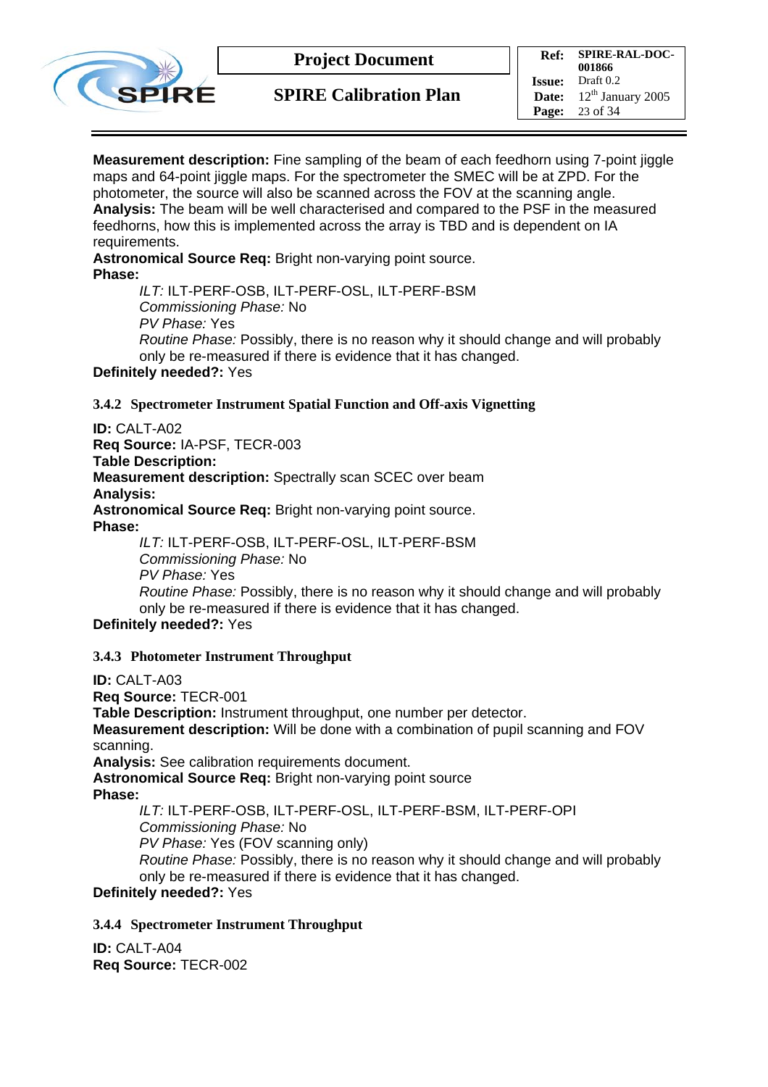

**SPIRE Calibration Plan**

**Ref: SPIRE-RAL-DOC-001866 Issue:** Draft 0.2 **Date:**  $12^{th}$  January 2005 **Page:** 23 of 34

**Measurement description:** Fine sampling of the beam of each feedhorn using 7-point jiggle maps and 64-point jiggle maps. For the spectrometer the SMEC will be at ZPD. For the photometer, the source will also be scanned across the FOV at the scanning angle. **Analysis:** The beam will be well characterised and compared to the PSF in the measured feedhorns, how this is implemented across the array is TBD and is dependent on IA requirements.

**Astronomical Source Req:** Bright non-varying point source. **Phase:** 

> *ILT:* ILT-PERF-OSB, ILT-PERF-OSL, ILT-PERF-BSM *Commissioning Phase:* No *PV Phase:* Yes *Routine Phase:* Possibly, there is no reason why it should change and will probably only be re-measured if there is evidence that it has changed.

#### **Definitely needed?:** Yes

**3.4.2 Spectrometer Instrument Spatial Function and Off-axis Vignetting** 

**ID:** CALT-A02

**Req Source:** IA-PSF, TECR-003 **Table Description: Measurement description:** Spectrally scan SCEC over beam **Analysis: Astronomical Source Req:** Bright non-varying point source. **Phase:** 

> *ILT:* ILT-PERF-OSB, ILT-PERF-OSL, ILT-PERF-BSM *Commissioning Phase:* No *PV Phase:* Yes *Routine Phase:* Possibly, there is no reason why it should change and will probably only be re-measured if there is evidence that it has changed.

**Definitely needed?:** Yes

#### **3.4.3 Photometer Instrument Throughput**

**ID:** CALT-A03 **Req Source:** TECR-001 **Table Description:** Instrument throughput, one number per detector. **Measurement description:** Will be done with a combination of pupil scanning and FOV scanning.

**Analysis:** See calibration requirements document.

**Astronomical Source Req:** Bright non-varying point source

**Phase:** 

*ILT:* ILT-PERF-OSB, ILT-PERF-OSL, ILT-PERF-BSM, ILT-PERF-OPI *Commissioning Phase:* No *PV Phase:* Yes (FOV scanning only) *Routine Phase:* Possibly, there is no reason why it should change and will probably only be re-measured if there is evidence that it has changed.

#### **Definitely needed?:** Yes

#### **3.4.4 Spectrometer Instrument Throughput**

**ID:** CALT-A04 **Req Source:** TECR-002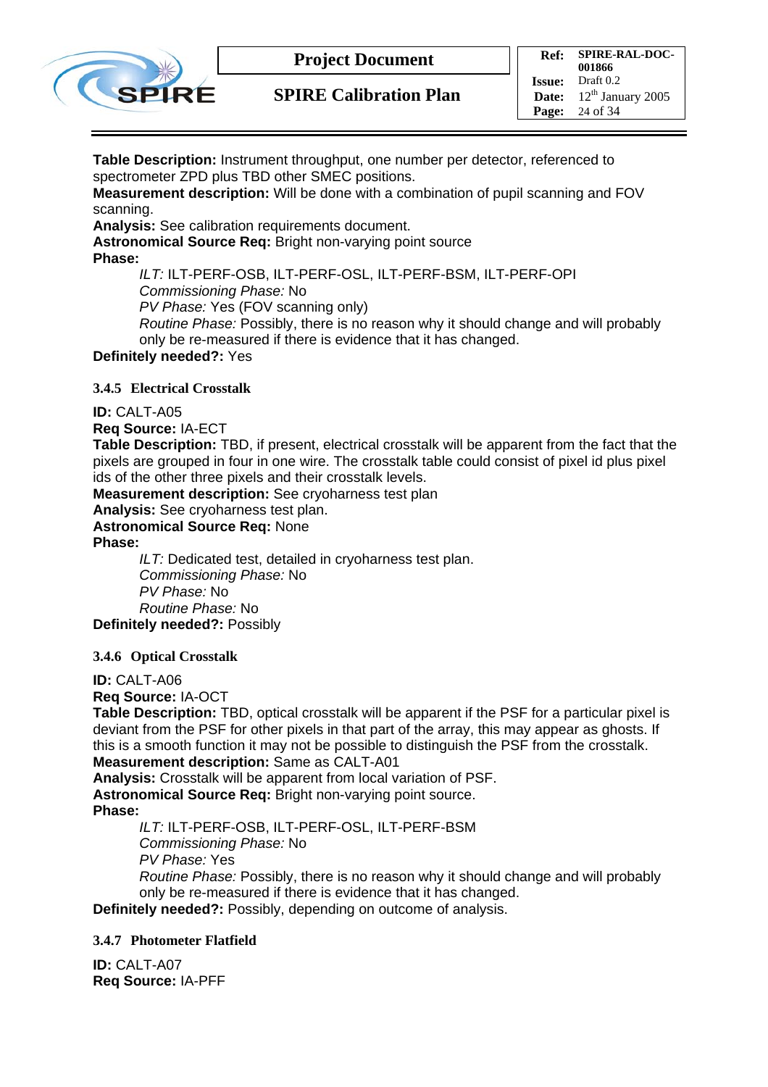

**SPIRE Calibration Plan**

**Ref: SPIRE-RAL-DOC-001866 Issue:** Draft 0.2 **Date:**  $12^{th}$  January 2005 **Page:** 24 of 34

**Table Description:** Instrument throughput, one number per detector, referenced to spectrometer ZPD plus TBD other SMEC positions.

**Measurement description:** Will be done with a combination of pupil scanning and FOV scanning.

**Analysis:** See calibration requirements document.

**Astronomical Source Req:** Bright non-varying point source

**Phase:** 

*ILT:* ILT-PERF-OSB, ILT-PERF-OSL, ILT-PERF-BSM, ILT-PERF-OPI *Commissioning Phase:* No

*PV Phase:* Yes (FOV scanning only)

*Routine Phase:* Possibly, there is no reason why it should change and will probably only be re-measured if there is evidence that it has changed.

**Definitely needed?:** Yes

**3.4.5 Electrical Crosstalk** 

**ID:** CALT-A05

**Req Source:** IA-ECT

**Table Description:** TBD, if present, electrical crosstalk will be apparent from the fact that the pixels are grouped in four in one wire. The crosstalk table could consist of pixel id plus pixel ids of the other three pixels and their crosstalk levels.

**Measurement description:** See cryoharness test plan

**Analysis:** See cryoharness test plan.

**Astronomical Source Req:** None

**Phase:** 

*ILT:* Dedicated test, detailed in cryoharness test plan. *Commissioning Phase:* No *PV Phase:* No *Routine Phase:* No **Definitely needed?:** Possibly

**3.4.6 Optical Crosstalk** 

**ID:** CALT-A06

**Req Source:** IA-OCT

**Table Description:** TBD, optical crosstalk will be apparent if the PSF for a particular pixel is deviant from the PSF for other pixels in that part of the array, this may appear as ghosts. If this is a smooth function it may not be possible to distinguish the PSF from the crosstalk. **Measurement description:** Same as CALT-A01

**Analysis:** Crosstalk will be apparent from local variation of PSF.

**Astronomical Source Req:** Bright non-varying point source.

**Phase:** 

*ILT:* ILT-PERF-OSB, ILT-PERF-OSL, ILT-PERF-BSM *Commissioning Phase:* No

*PV Phase:* Yes

*Routine Phase:* Possibly, there is no reason why it should change and will probably only be re-measured if there is evidence that it has changed.

**Definitely needed?:** Possibly, depending on outcome of analysis.

#### **3.4.7 Photometer Flatfield**

**ID:** CALT-A07 **Req Source:** IA-PFF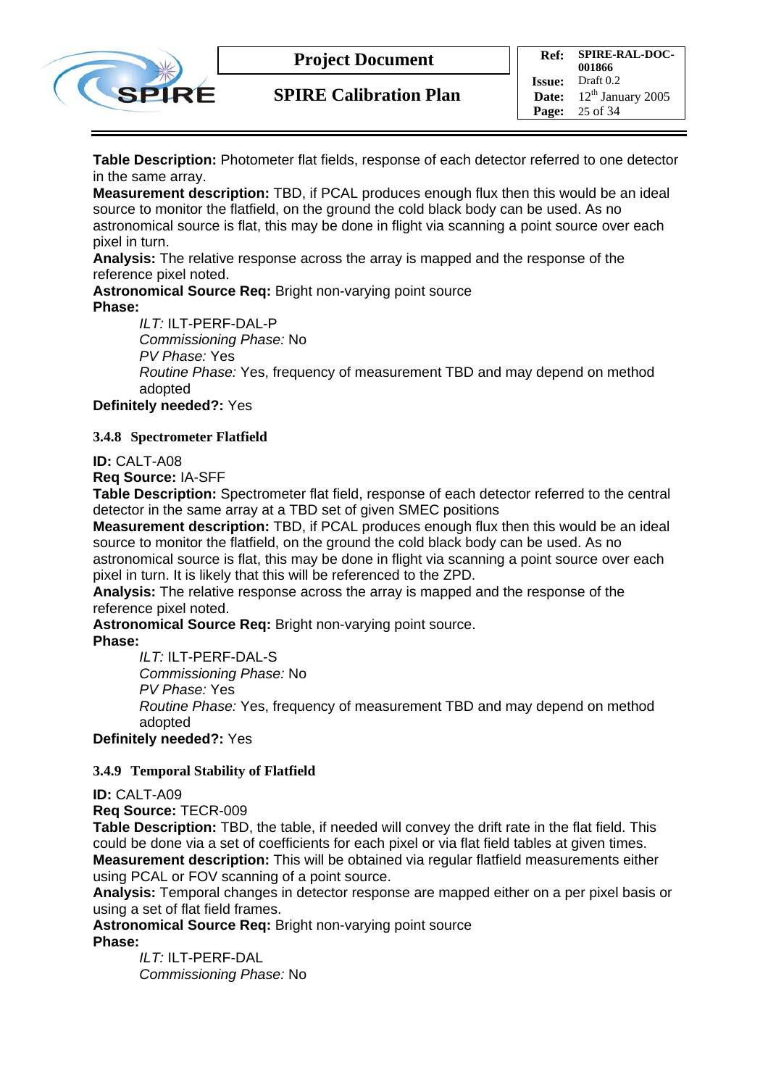

**SPIRE Calibration Plan**

**Table Description:** Photometer flat fields, response of each detector referred to one detector in the same array.

**Measurement description:** TBD, if PCAL produces enough flux then this would be an ideal source to monitor the flatfield, on the ground the cold black body can be used. As no astronomical source is flat, this may be done in flight via scanning a point source over each pixel in turn.

**Analysis:** The relative response across the array is mapped and the response of the reference pixel noted.

**Astronomical Source Req:** Bright non-varying point source **Phase:** 

*ILT:* ILT-PERF-DAL-P

*Commissioning Phase:* No

*PV Phase:* Yes

*Routine Phase:* Yes, frequency of measurement TBD and may depend on method adopted

**Definitely needed?:** Yes

#### **3.4.8 Spectrometer Flatfield**

**ID:** CALT-A08

**Req Source:** IA-SFF

**Table Description:** Spectrometer flat field, response of each detector referred to the central detector in the same array at a TBD set of given SMEC positions

**Measurement description:** TBD, if PCAL produces enough flux then this would be an ideal source to monitor the flatfield, on the ground the cold black body can be used. As no astronomical source is flat, this may be done in flight via scanning a point source over each pixel in turn. It is likely that this will be referenced to the ZPD.

**Analysis:** The relative response across the array is mapped and the response of the reference pixel noted.

**Astronomical Source Req:** Bright non-varying point source. **Phase:** 

*ILT:* ILT-PERF-DAL-S

*Commissioning Phase:* No

*PV Phase:* Yes

*Routine Phase:* Yes, frequency of measurement TBD and may depend on method adopted

**Definitely needed?:** Yes

#### **3.4.9 Temporal Stability of Flatfield**

#### **ID:** CALT-A09

**Req Source:** TECR-009

**Table Description:** TBD, the table, if needed will convey the drift rate in the flat field. This could be done via a set of coefficients for each pixel or via flat field tables at given times. **Measurement description:** This will be obtained via regular flatfield measurements either using PCAL or FOV scanning of a point source.

**Analysis:** Temporal changes in detector response are mapped either on a per pixel basis or using a set of flat field frames.

**Astronomical Source Req:** Bright non-varying point source

**Phase:** 

*ILT:* ILT-PERF-DAL *Commissioning Phase:* No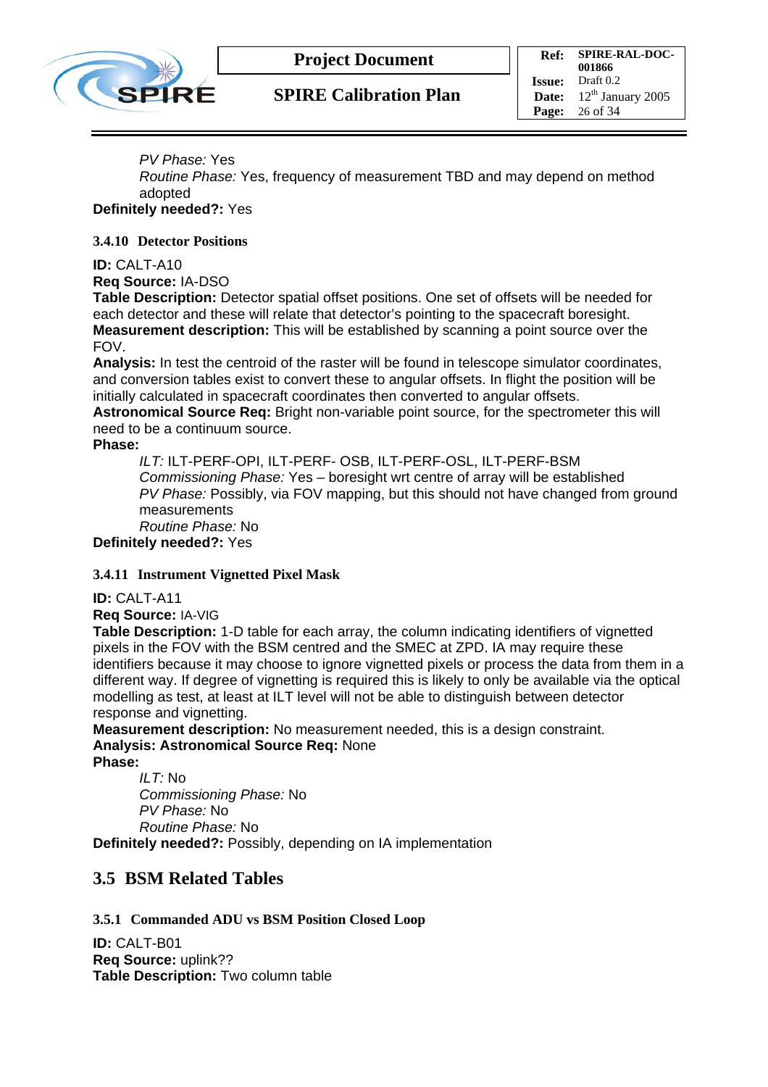

#### *PV Phase:* Yes

*Routine Phase:* Yes, frequency of measurement TBD and may depend on method adopted

#### **Definitely needed?:** Yes

#### **3.4.10 Detector Positions**

#### **ID:** CALT-A10

**Req Source:** IA-DSO

**Table Description:** Detector spatial offset positions. One set of offsets will be needed for each detector and these will relate that detector's pointing to the spacecraft boresight. **Measurement description:** This will be established by scanning a point source over the FOV.

**Analysis:** In test the centroid of the raster will be found in telescope simulator coordinates, and conversion tables exist to convert these to angular offsets. In flight the position will be initially calculated in spacecraft coordinates then converted to angular offsets.

**Astronomical Source Req:** Bright non-variable point source, for the spectrometer this will need to be a continuum source.

#### **Phase:**

*ILT:* ILT-PERF-OPI, ILT-PERF- OSB, ILT-PERF-OSL, ILT-PERF-BSM *Commissioning Phase:* Yes – boresight wrt centre of array will be established *PV Phase:* Possibly, via FOV mapping, but this should not have changed from ground measurements *Routine Phase:* No

**Definitely needed?:** Yes

#### **3.4.11 Instrument Vignetted Pixel Mask**

**ID:** CALT-A11

**Req Source:** IA-VIG

**Table Description:** 1-D table for each array, the column indicating identifiers of vignetted pixels in the FOV with the BSM centred and the SMEC at ZPD. IA may require these identifiers because it may choose to ignore vignetted pixels or process the data from them in a different way. If degree of vignetting is required this is likely to only be available via the optical modelling as test, at least at ILT level will not be able to distinguish between detector response and vignetting.

**Measurement description:** No measurement needed, this is a design constraint. **Analysis: Astronomical Source Req:** None

**Phase:** 

*ILT:* No *Commissioning Phase:* No *PV Phase:* No *Routine Phase:* No **Definitely needed?:** Possibly, depending on IA implementation

### **3.5 BSM Related Tables**

#### **3.5.1 Commanded ADU vs BSM Position Closed Loop**

**ID:** CALT-B01 **Req Source:** uplink?? **Table Description:** Two column table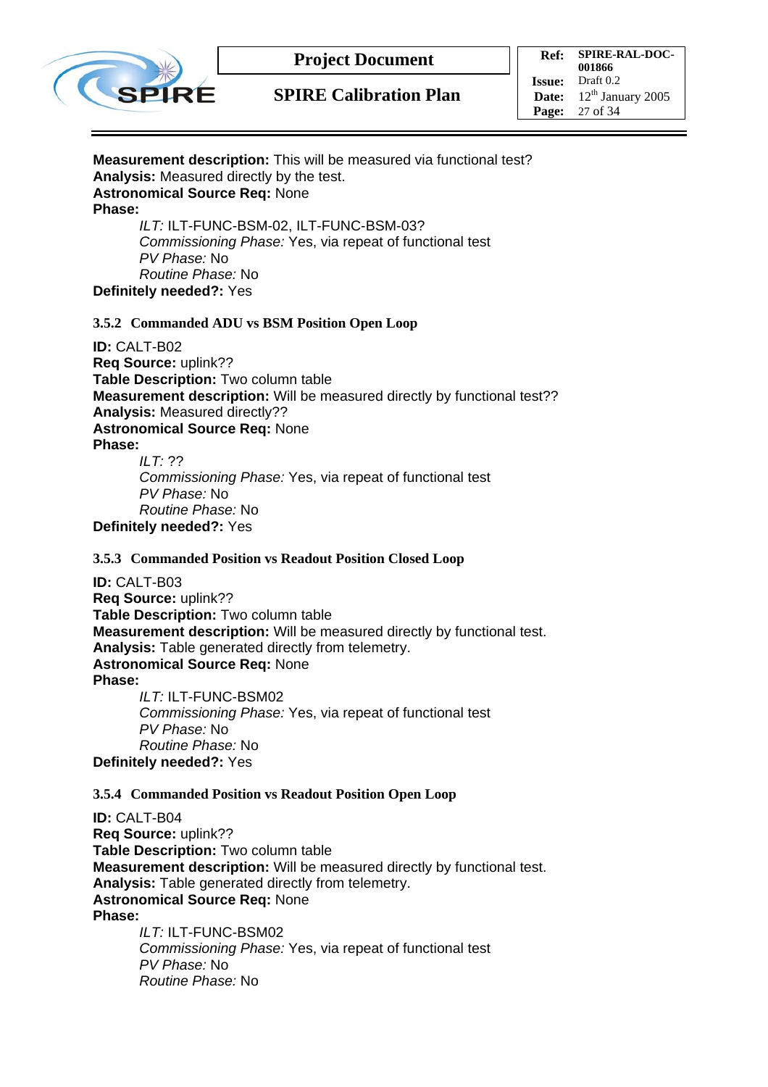

### **SPIRE Calibration Plan**

**Ref: SPIRE-RAL-DOC-001866 Issue:** Draft 0.2 **Date:**  $12^{th}$  January 2005 **Page:** 27 of 34

#### **Measurement description:** This will be measured via functional test? **Analysis:** Measured directly by the test. **Astronomical Source Req:** None **Phase:**  *ILT:* ILT-FUNC-BSM-02, ILT-FUNC-BSM-03?

*Commissioning Phase:* Yes, via repeat of functional test *PV Phase:* No *Routine Phase:* No **Definitely needed?:** Yes

#### **3.5.2 Commanded ADU vs BSM Position Open Loop**

**ID:** CALT-B02 **Req Source:** uplink?? **Table Description:** Two column table **Measurement description:** Will be measured directly by functional test?? **Analysis:** Measured directly?? **Astronomical Source Req:** None **Phase:**  *ILT:* ??

*Commissioning Phase:* Yes, via repeat of functional test *PV Phase:* No *Routine Phase:* No **Definitely needed?:** Yes

#### **3.5.3 Commanded Position vs Readout Position Closed Loop**

**ID:** CALT-B03 **Req Source:** uplink?? **Table Description:** Two column table **Measurement description:** Will be measured directly by functional test. **Analysis:** Table generated directly from telemetry. **Astronomical Source Req:** None **Phase:**  *ILT:* ILT-FUNC-BSM02 *Commissioning Phase:* Yes, via repeat of functional test

*PV Phase:* No *Routine Phase:* No **Definitely needed?:** Yes

#### **3.5.4 Commanded Position vs Readout Position Open Loop**

**ID:** CALT-B04 **Req Source:** uplink?? **Table Description:** Two column table **Measurement description:** Will be measured directly by functional test. **Analysis:** Table generated directly from telemetry. **Astronomical Source Req:** None **Phase:** 

*ILT*<sup> $\cdot$ </sup> ILT-FUNC-BSM02 *Commissioning Phase:* Yes, via repeat of functional test *PV Phase:* No *Routine Phase:* No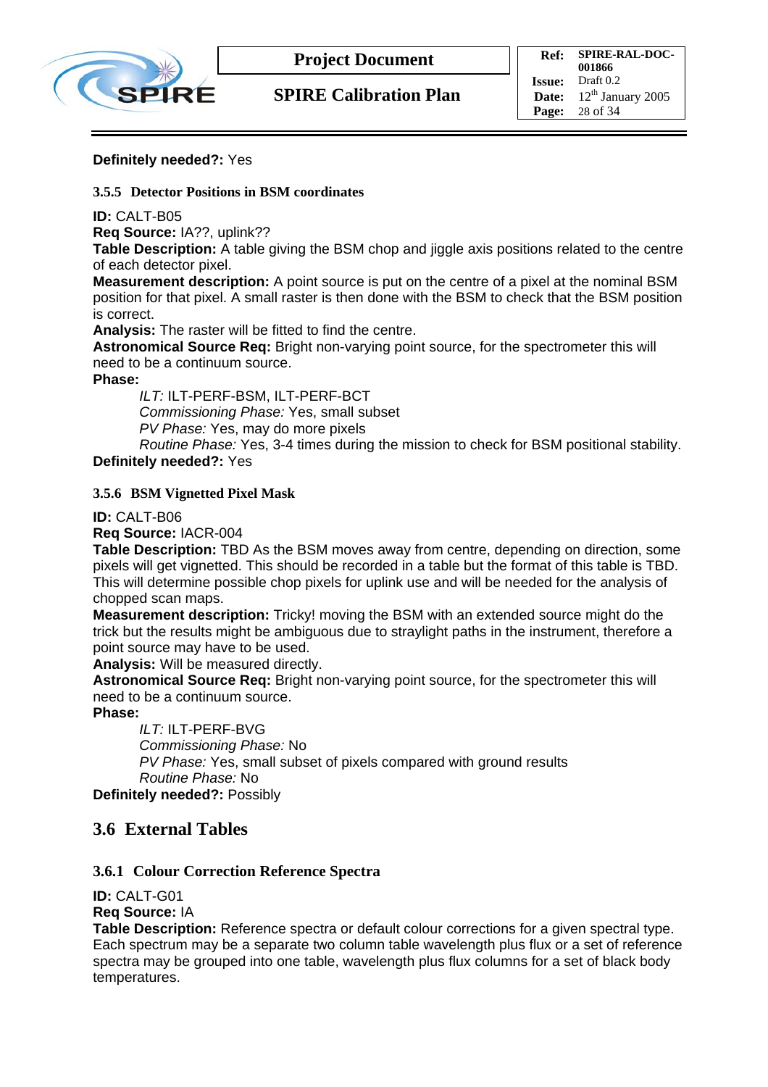

#### **Definitely needed?:** Yes

#### **3.5.5 Detector Positions in BSM coordinates**

**ID:** CALT-B05

**Req Source:** IA??, uplink??

**Table Description:** A table giving the BSM chop and jiggle axis positions related to the centre of each detector pixel.

**Measurement description:** A point source is put on the centre of a pixel at the nominal BSM position for that pixel. A small raster is then done with the BSM to check that the BSM position is correct.

**Analysis:** The raster will be fitted to find the centre.

**Astronomical Source Req:** Bright non-varying point source, for the spectrometer this will need to be a continuum source.

**Phase:** 

*ILT:* ILT-PERF-BSM, ILT-PERF-BCT *Commissioning Phase:* Yes, small subset *PV Phase:* Yes, may do more pixels

*Routine Phase:* Yes, 3-4 times during the mission to check for BSM positional stability. **Definitely needed?:** Yes

#### **3.5.6 BSM Vignetted Pixel Mask**

**ID:** CALT-B06

**Req Source:** IACR-004

**Table Description:** TBD As the BSM moves away from centre, depending on direction, some pixels will get vignetted. This should be recorded in a table but the format of this table is TBD. This will determine possible chop pixels for uplink use and will be needed for the analysis of chopped scan maps.

**Measurement description:** Tricky! moving the BSM with an extended source might do the trick but the results might be ambiguous due to straylight paths in the instrument, therefore a point source may have to be used.

**Analysis:** Will be measured directly.

**Astronomical Source Req:** Bright non-varying point source, for the spectrometer this will need to be a continuum source.

**Phase:** 

*ILT:* ILT-PERF-BVG *Commissioning Phase:* No *PV Phase:* Yes, small subset of pixels compared with ground results *Routine Phase:* No

**Definitely needed?:** Possibly

#### **3.6 External Tables**

#### **3.6.1 Colour Correction Reference Spectra**

**ID:** CALT-G01

**Req Source:** IA

**Table Description:** Reference spectra or default colour corrections for a given spectral type. Each spectrum may be a separate two column table wavelength plus flux or a set of reference spectra may be grouped into one table, wavelength plus flux columns for a set of black body temperatures.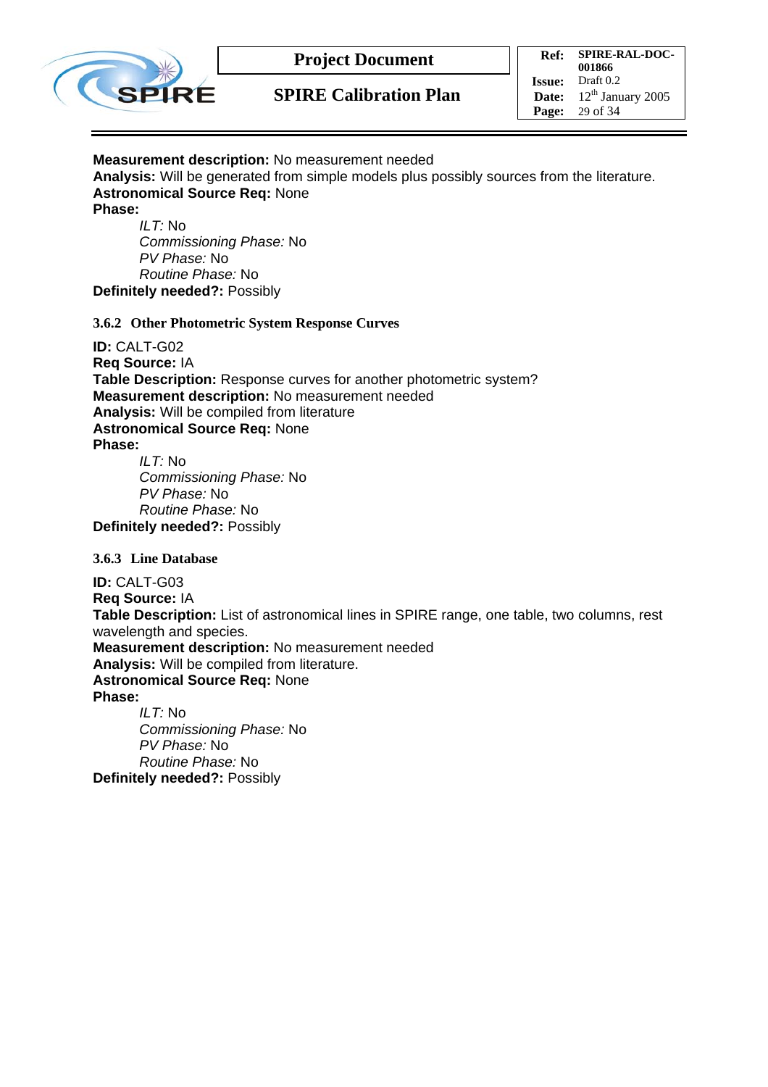

### **SPIRE Calibration Plan**

**Ref: SPIRE-RAL-DOC-001866 Issue:** Draft 0.2 Date:  $12^{th}$  January 2005 **Page:** 29 of 34

#### **Measurement description:** No measurement needed

**Analysis:** Will be generated from simple models plus possibly sources from the literature. **Astronomical Source Req:** None **Phase:** 

*ILT:* No *Commissioning Phase:* No *PV Phase:* No *Routine Phase:* No **Definitely needed?:** Possibly

#### **3.6.2 Other Photometric System Response Curves**

**ID:** CALT-G02 **Req Source:** IA **Table Description:** Response curves for another photometric system? **Measurement description:** No measurement needed **Analysis:** Will be compiled from literature **Astronomical Source Req:** None **Phase:** 

*ILT:* No *Commissioning Phase:* No *PV Phase:* No *Routine Phase:* No **Definitely needed?:** Possibly

#### **3.6.3 Line Database**

**ID:** CALT-G03 **Req Source:** IA **Table Description:** List of astronomical lines in SPIRE range, one table, two columns, rest wavelength and species. **Measurement description:** No measurement needed **Analysis:** Will be compiled from literature. **Astronomical Source Req:** None **Phase:**  *ILT:* No *Commissioning Phase:* No *PV Phase:* No

*Routine Phase:* No **Definitely needed?:** Possibly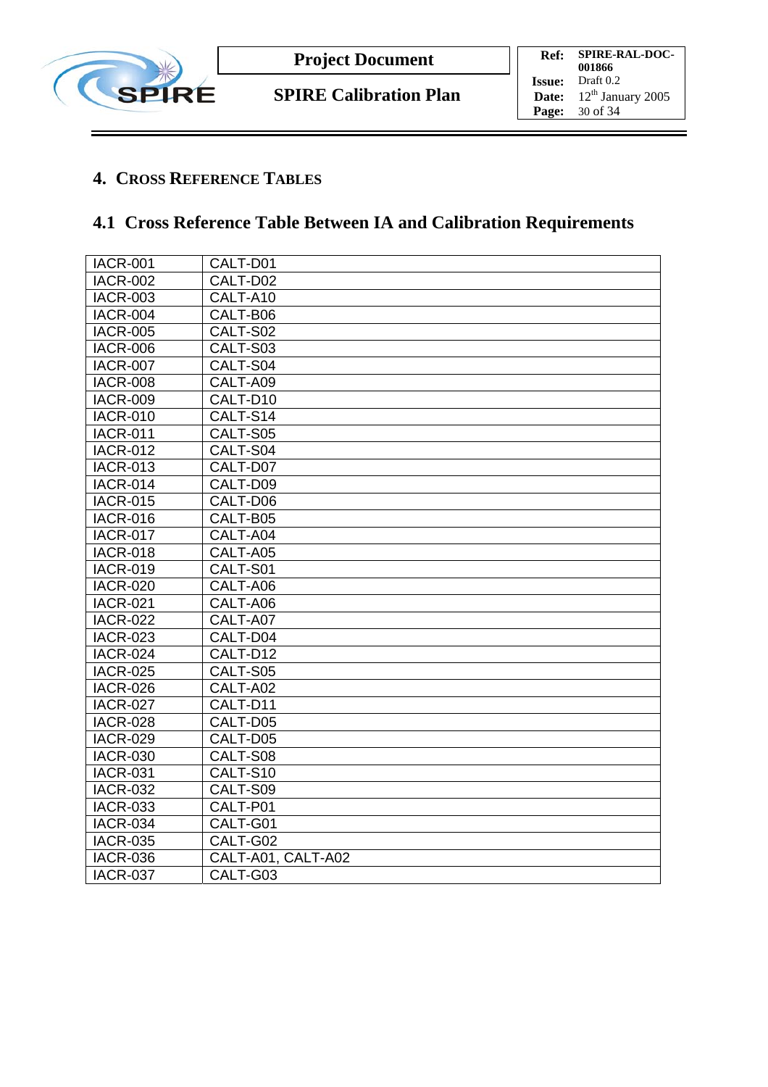

## **4. CROSS REFERENCE TABLES**

# **4.1 Cross Reference Table Between IA and Calibration Requirements**

| <b>IACR-001</b> | CALT-D01           |
|-----------------|--------------------|
| <b>IACR-002</b> | CALT-D02           |
| <b>IACR-003</b> | CALT-A10           |
| <b>IACR-004</b> | CALT-B06           |
| <b>IACR-005</b> | CALT-S02           |
| <b>IACR-006</b> | CALT-S03           |
| <b>IACR-007</b> | CALT-S04           |
| <b>IACR-008</b> | CALT-A09           |
| <b>IACR-009</b> | CALT-D10           |
| <b>IACR-010</b> | CALT-S14           |
| <b>IACR-011</b> | CALT-S05           |
| <b>IACR-012</b> | CALT-S04           |
| <b>IACR-013</b> | CALT-D07           |
| <b>IACR-014</b> | CALT-D09           |
| <b>IACR-015</b> | CALT-D06           |
| <b>IACR-016</b> | CALT-B05           |
| <b>IACR-017</b> | CALT-A04           |
| <b>IACR-018</b> | CALT-A05           |
| <b>IACR-019</b> | CALT-S01           |
| <b>IACR-020</b> | CALT-A06           |
| <b>IACR-021</b> | CALT-A06           |
| <b>IACR-022</b> | CALT-A07           |
| <b>IACR-023</b> | CALT-D04           |
| <b>IACR-024</b> | CALT-D12           |
| <b>IACR-025</b> | CALT-S05           |
| <b>IACR-026</b> | CALT-A02           |
| <b>IACR-027</b> | CALT-D11           |
| <b>IACR-028</b> | CALT-D05           |
| <b>IACR-029</b> | CALT-D05           |
| <b>IACR-030</b> | CALT-S08           |
| <b>IACR-031</b> | CALT-S10           |
| <b>IACR-032</b> | CALT-S09           |
| <b>IACR-033</b> | CALT-P01           |
| <b>IACR-034</b> | CALT-G01           |
| <b>IACR-035</b> | CALT-G02           |
| <b>IACR-036</b> | CALT-A01, CALT-A02 |
| <b>IACR-037</b> | CALT-G03           |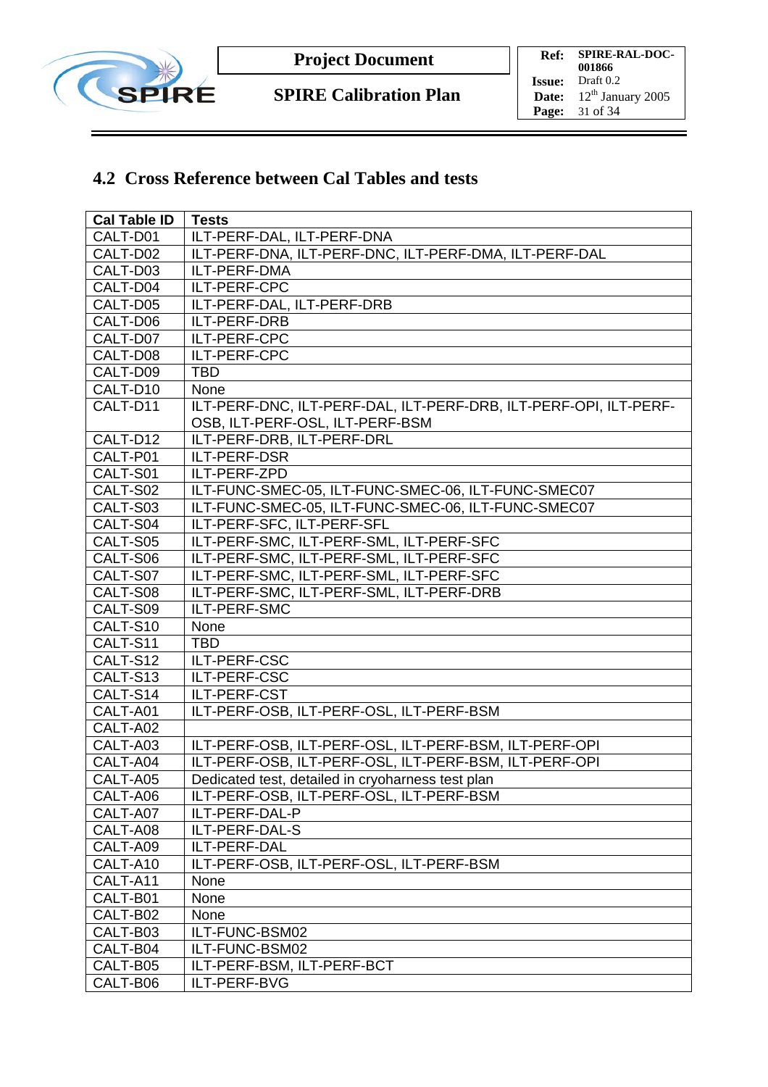

## **4.2 Cross Reference between Cal Tables and tests**

| <b>Cal Table ID</b> | <b>Tests</b>                                                                                         |
|---------------------|------------------------------------------------------------------------------------------------------|
| CALT-D01            | ILT-PERF-DAL, ILT-PERF-DNA                                                                           |
| CALT-D02            | ILT-PERF-DNA, ILT-PERF-DNC, ILT-PERF-DMA, ILT-PERF-DAL                                               |
| CALT-D03            | ILT-PERF-DMA                                                                                         |
| CALT-D04            | ILT-PERF-CPC                                                                                         |
| CALT-D05            | ILT-PERF-DAL, ILT-PERF-DRB                                                                           |
| CALT-D06            | ILT-PERF-DRB                                                                                         |
| CALT-D07            | ILT-PERF-CPC                                                                                         |
| CALT-D08            | ILT-PERF-CPC                                                                                         |
| CALT-D09            | <b>TBD</b>                                                                                           |
| CALT-D10            | None                                                                                                 |
| CALT-D11            | ILT-PERF-DNC, ILT-PERF-DAL, ILT-PERF-DRB, ILT-PERF-OPI, ILT-PERF-<br>OSB, ILT-PERF-OSL, ILT-PERF-BSM |
| CALT-D12            | ILT-PERF-DRB, ILT-PERF-DRL                                                                           |
| CALT-P01            | ILT-PERF-DSR                                                                                         |
| CALT-S01            | ILT-PERF-ZPD                                                                                         |
| CALT-S02            | ILT-FUNC-SMEC-05, ILT-FUNC-SMEC-06, ILT-FUNC-SMEC07                                                  |
| CALT-S03            | ILT-FUNC-SMEC-05, ILT-FUNC-SMEC-06, ILT-FUNC-SMEC07                                                  |
| CALT-S04            | ILT-PERF-SFC, ILT-PERF-SFL                                                                           |
| CALT-S05            | ILT-PERF-SMC, ILT-PERF-SML, ILT-PERF-SFC                                                             |
| CALT-S06            | ILT-PERF-SMC, ILT-PERF-SML, ILT-PERF-SFC                                                             |
| CALT-S07            | ILT-PERF-SMC, ILT-PERF-SML, ILT-PERF-SFC                                                             |
| CALT-S08            | ILT-PERF-SMC, ILT-PERF-SML, ILT-PERF-DRB                                                             |
| CALT-S09            | ILT-PERF-SMC                                                                                         |
| CALT-S10            | None                                                                                                 |
| CALT-S11            | <b>TBD</b>                                                                                           |
| CALT-S12            | ILT-PERF-CSC                                                                                         |
| CALT-S13            | ILT-PERF-CSC                                                                                         |
| CALT-S14            | ILT-PERF-CST                                                                                         |
| CALT-A01            | ILT-PERF-OSB, ILT-PERF-OSL, ILT-PERF-BSM                                                             |
| CALT-A02            |                                                                                                      |
| CALT-A03            | ILT-PERF-OSB, ILT-PERF-OSL, ILT-PERF-BSM, ILT-PERF-OPI                                               |
| CALT-A04            | ILT-PERF-OSB, ILT-PERF-OSL, ILT-PERF-BSM, ILT-PERF-OPI                                               |
| CALT-A05            | Dedicated test, detailed in cryoharness test plan                                                    |
| CALT-A06            | ILT-PERF-OSB, ILT-PERF-OSL, ILT-PERF-BSM                                                             |
| CALT-A07            | ILT-PERF-DAL-P                                                                                       |
| CALT-A08            | ILT-PERF-DAL-S                                                                                       |
| CALT-A09            | ILT-PERF-DAL                                                                                         |
| CALT-A10            | ILT-PERF-OSB, ILT-PERF-OSL, ILT-PERF-BSM                                                             |
| CALT-A11            | None                                                                                                 |
| CALT-B01            | None                                                                                                 |
| CALT-B02            | None                                                                                                 |
| CALT-B03            | ILT-FUNC-BSM02                                                                                       |
| CALT-B04            | ILT-FUNC-BSM02                                                                                       |
| CALT-B05            | ILT-PERF-BSM, ILT-PERF-BCT                                                                           |
| CALT-B06            | ILT-PERF-BVG                                                                                         |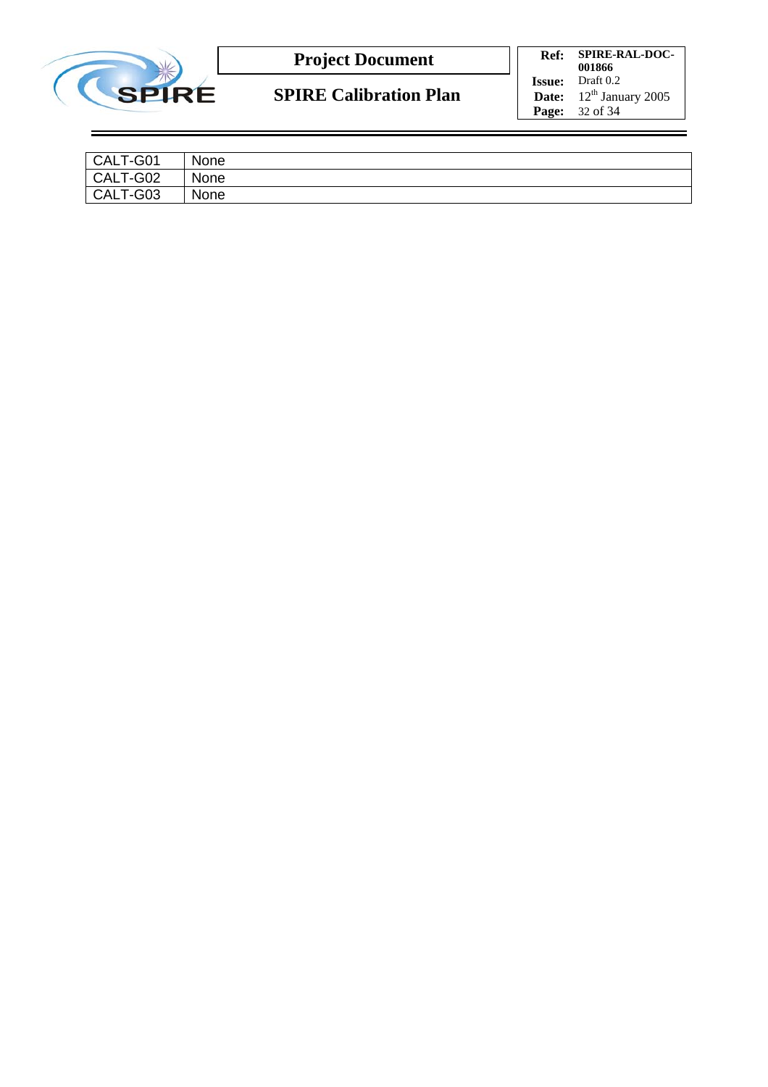

**SPIRE Calibration Plan**

**Ref: SPIRE-RAL-DOC-001866 Issue:** Draft 0.2 **Date:**  $12^{\text{th}}$  January 2005 **Page:** 32 of 34

| CALT-G01 | None |
|----------|------|
| CALT-G02 | None |
| CALT-G03 | None |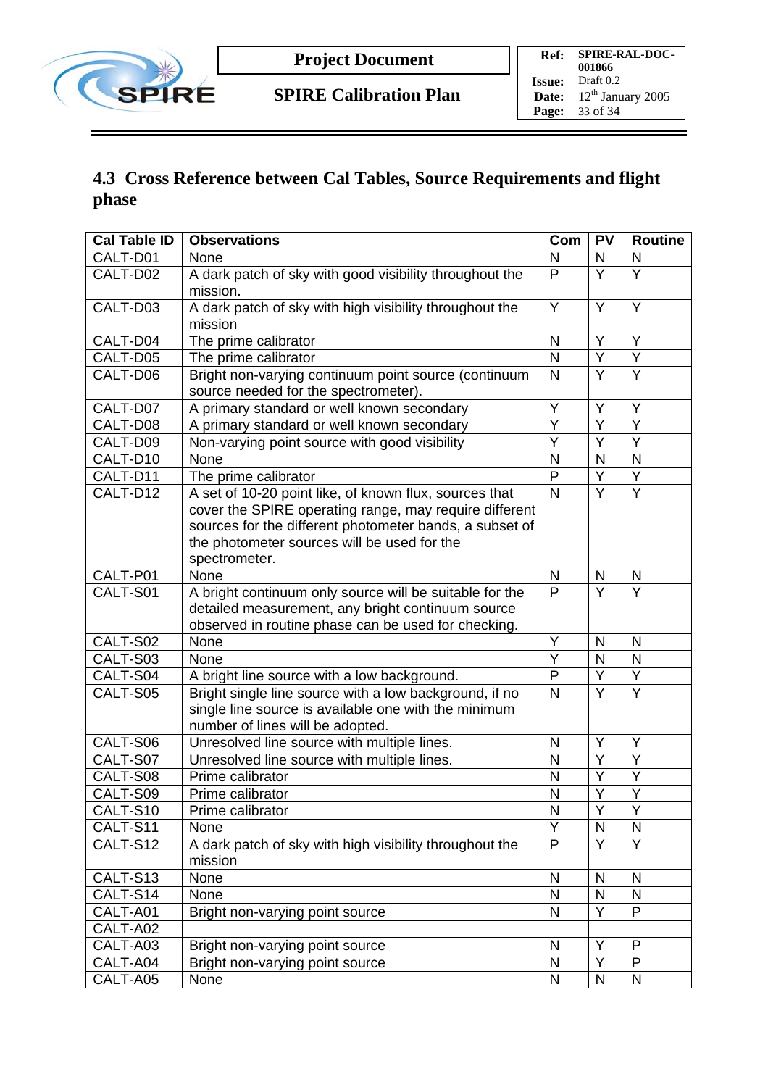

## **4.3 Cross Reference between Cal Tables, Source Requirements and flight phase**

| <b>Cal Table ID</b>  | <b>Observations</b>                                                                          | Com                     | <b>PV</b>               | <b>Routine</b>    |
|----------------------|----------------------------------------------------------------------------------------------|-------------------------|-------------------------|-------------------|
| CALT-D01             | None                                                                                         | N                       | N                       | N                 |
| CALT-D02             | A dark patch of sky with good visibility throughout the                                      | P                       | $\overline{\mathsf{Y}}$ | $\overline{Y}$    |
|                      | mission.                                                                                     |                         |                         |                   |
| CALT-D03             | A dark patch of sky with high visibility throughout the                                      | Y                       | Y                       | Y                 |
|                      | mission                                                                                      |                         |                         |                   |
| CALT-D04             | The prime calibrator                                                                         | $\mathsf{N}$            | Y                       | Y                 |
| CALT-D05             | The prime calibrator                                                                         | N                       | Y                       | Y                 |
| CALT-D06             | Bright non-varying continuum point source (continuum<br>source needed for the spectrometer). | $\mathsf{N}$            | $\overline{Y}$          | Y                 |
| CALT-D07             | A primary standard or well known secondary                                                   | Y                       | Y                       | Y                 |
| CALT-D08             | A primary standard or well known secondary                                                   | $\overline{\mathsf{Y}}$ | $\overline{Y}$          | $\overline{Y}$    |
| CALT-D09             | Non-varying point source with good visibility                                                | Y                       | Ÿ                       | Y                 |
| CALT-D10             | None                                                                                         | N                       | N                       | $\mathsf{N}$      |
| CALT-D11             | The prime calibrator                                                                         | $\mathsf{P}$            | $\overline{\mathsf{Y}}$ | Y                 |
| CALT-D12             | A set of 10-20 point like, of known flux, sources that                                       | $\mathsf{N}$            | Y                       | Y                 |
|                      | cover the SPIRE operating range, may require different                                       |                         |                         |                   |
|                      | sources for the different photometer bands, a subset of                                      |                         |                         |                   |
|                      | the photometer sources will be used for the                                                  |                         |                         |                   |
|                      | spectrometer.                                                                                |                         |                         |                   |
| CALT-P01             | None                                                                                         | N                       | N                       | N                 |
| CALT-S01             | A bright continuum only source will be suitable for the                                      | $\overline{P}$          | $\overline{\mathsf{Y}}$ | $\overline{Y}$    |
|                      | detailed measurement, any bright continuum source                                            |                         |                         |                   |
|                      | observed in routine phase can be used for checking.                                          |                         |                         |                   |
| CALT-S02             | None                                                                                         | Y                       | N                       | $\mathsf{N}$      |
| CALT-S03             | None                                                                                         | Y                       | $\mathsf{N}$            | $\mathsf{N}$      |
| CALT-S04             | A bright line source with a low background.                                                  | P                       | $\overline{Y}$          | Y                 |
| CALT-S05             | Bright single line source with a low background, if no                                       | N                       | $\overline{Y}$          | $\overline{Y}$    |
|                      | single line source is available one with the minimum                                         |                         |                         |                   |
|                      | number of lines will be adopted.                                                             |                         |                         |                   |
| CALT-S06             | Unresolved line source with multiple lines.                                                  | N                       | Y                       | Y                 |
| CALT-S07             | Unresolved line source with multiple lines.                                                  | $\mathsf{N}$            | $\overline{Y}$          | $\overline{Y}$    |
| CALT-S08             | Prime calibrator                                                                             | N                       | Y                       | Y                 |
| CALT-S09             | Prime calibrator                                                                             | N                       | Y<br>$\vee$             | Y                 |
| CALT-S10             | Prime calibrator                                                                             | $\mathsf{N}$            |                         | Y                 |
| CALT-S11             | None                                                                                         | Ÿ                       | $\mathsf{N}$            | N                 |
| CALT-S12             | A dark patch of sky with high visibility throughout the                                      | P                       | Y                       | Y                 |
|                      | mission                                                                                      |                         |                         |                   |
| CALT-S13             | None                                                                                         | N<br>$\mathsf{N}$       | N<br>N                  | N<br>$\mathsf{N}$ |
| CALT-S14             | None                                                                                         |                         | Y                       | P                 |
| CALT-A01<br>CALT-A02 | Bright non-varying point source                                                              | $\mathsf{N}$            |                         |                   |
|                      |                                                                                              |                         | Υ                       | P                 |
| CALT-A03<br>CALT-A04 | Bright non-varying point source                                                              | N                       | Y                       | P                 |
|                      | Bright non-varying point source                                                              | N                       |                         |                   |
| CALT-A05             | None                                                                                         | $\mathsf{N}$            | $\mathsf{N}$            | $\mathsf{N}$      |